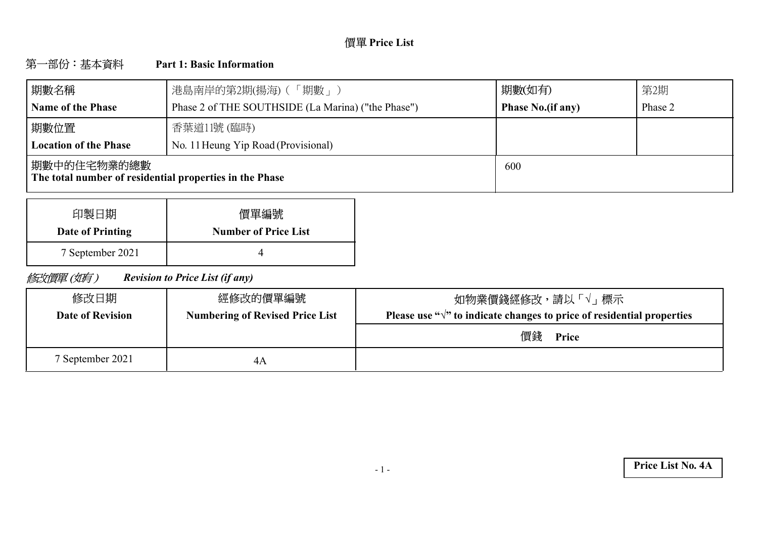# **Price List**

#### 第一部份:基本資料 **Part 1: Basic Information**

| 期數名稱                                                                    | 港島南岸的第2期(揚海) (「期數」)                                | 期數(如有)                   | 第2期     |
|-------------------------------------------------------------------------|----------------------------------------------------|--------------------------|---------|
| <b>Name of the Phase</b>                                                | Phase 2 of THE SOUTHSIDE (La Marina) ("the Phase") | <b>Phase No.(if any)</b> | Phase 2 |
| 期數位置                                                                    | 香葉道11號 (臨時)                                        |                          |         |
| <b>Location of the Phase</b>                                            | No. 11 Heung Yip Road (Provisional)                |                          |         |
| 期數中的住宅物業的總數 <br>The total number of residential properties in the Phase |                                                    | 600                      |         |

| 印製日期             | 價單編號                        |
|------------------|-----------------------------|
| Date of Printing | <b>Number of Price List</b> |
| 7 September 2021 |                             |

修改價單(如有) *Revision to Price List (if any)*

| 修改日期<br><b>Date of Revision</b> | 經修改的價單編號<br><b>Numbering of Revised Price List</b> | 如物業價錢經修改,請以「√」 標示<br>Please use " $\sqrt{ }$ " to indicate changes to price of residential properties |
|---------------------------------|----------------------------------------------------|-------------------------------------------------------------------------------------------------------|
|                                 |                                                    | 價錢<br>Price                                                                                           |
| 7 September 2021                | 4Α                                                 |                                                                                                       |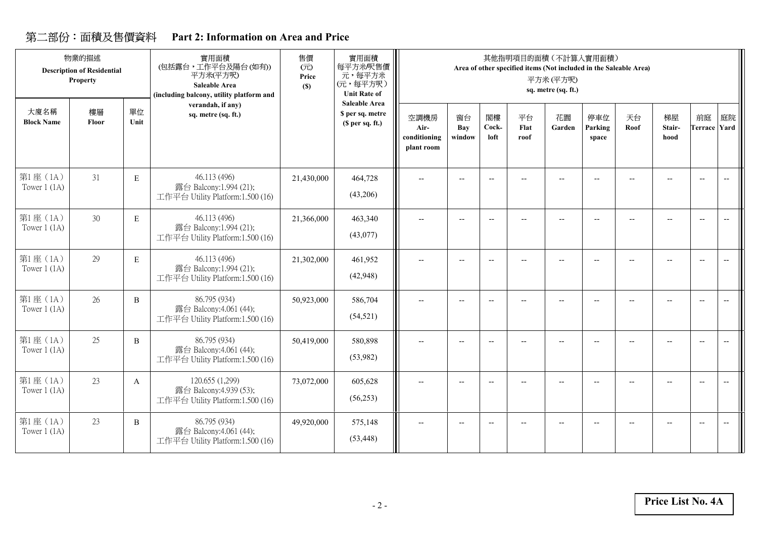# **Part 2: Information on Area and Price**

|                            | 物業的描述<br><b>Description of Residential</b><br>Property |              | 實用面積<br>(包括露台,工作平台及陽台(如有))<br>平方米(平方呎)<br><b>Saleable Area</b><br>(including balcony, utility platform and | 售價<br>(元)<br>Price<br>(S) | 實用面積<br>每平方米/呎售價<br>元,每平方米<br>(元,每平方呎)<br><b>Unit Rate of</b> |                                            |                          |                          | 其他指明項目的面積 (不計算入實用面積)<br>Area of other specified items (Not included in the Saleable Area) | 平方米(平方呎)<br>sq. metre (sq. ft.) |                          |            |                          |                                                     |                          |
|----------------------------|--------------------------------------------------------|--------------|------------------------------------------------------------------------------------------------------------|---------------------------|---------------------------------------------------------------|--------------------------------------------|--------------------------|--------------------------|-------------------------------------------------------------------------------------------|---------------------------------|--------------------------|------------|--------------------------|-----------------------------------------------------|--------------------------|
| 大廈名稱<br><b>Block Name</b>  | 樓層<br>Floor                                            | 單位<br>Unit   | verandah, if any)<br>sq. metre (sq. ft.)                                                                   |                           | <b>Saleable Area</b><br>\$ per sq. metre<br>(S per sq. ft.)   | 空調機房<br>Air-<br>conditioning<br>plant room | 窗台<br>Bay<br>window      | 閣樓<br>Cock-<br>loft      | 平台<br>Flat<br>roof                                                                        | 花園<br>Garden                    | 停車位<br>Parking<br>space  | 天台<br>Roof | 梯屋<br>Stair-<br>hood     | 前庭<br><b>Terrace Yard</b>                           | 庭院                       |
| 第1座(1A)<br>Tower $1$ (1A)  | 31                                                     | $\mathbf E$  | 46.113 (496)<br>露台 Balcony:1.994 (21);<br>工作平台 Utility Platform:1.500 (16)                                 | 21,430,000                | 464,728<br>(43,206)                                           | $-$                                        |                          | $\overline{\phantom{a}}$ |                                                                                           |                                 |                          |            |                          | $\overline{\phantom{a}}$                            | $\overline{\phantom{a}}$ |
| 第1座(1A)<br>Tower $1$ (1A)  | 30                                                     | E            | 46.113 (496)<br>露台 Balcony:1.994 (21);<br>工作平台 Utility Platform:1.500 (16)                                 | 21,366,000                | 463,340<br>(43,077)                                           | $\overline{\phantom{a}}$                   |                          | $\overline{\phantom{a}}$ | $\overline{\phantom{a}}$                                                                  | --                              | $\overline{\phantom{a}}$ |            | $\overline{\phantom{a}}$ | $\hspace{0.05cm} -\hspace{0.05cm} -\hspace{0.05cm}$ | $\overline{\phantom{a}}$ |
| 第1座 (1A)<br>Tower $1(1A)$  | 29                                                     | E            | 46.113 (496)<br>露台 Balcony:1.994 (21);<br>工作平台 Utility Platform:1.500 (16)                                 | 21,302,000                | 461,952<br>(42, 948)                                          | $-$                                        |                          | $-$                      | $\overline{a}$                                                                            | $-$                             | $\overline{\phantom{a}}$ |            |                          | $\overline{\phantom{a}}$                            | $\overline{\phantom{a}}$ |
| 第1座(1A)<br>Tower $1(1A)$   | 26                                                     | B            | 86.795 (934)<br>露台 Balcony:4.061 (44);<br>工作平台 Utility Platform:1.500 (16)                                 | 50,923,000                | 586,704<br>(54, 521)                                          | $\overline{\phantom{m}}$                   |                          | $\overline{\phantom{a}}$ | $\overline{a}$                                                                            | --                              | $\overline{\phantom{a}}$ |            | $\overline{\phantom{a}}$ | $\overline{\phantom{a}}$                            | $\overline{\phantom{a}}$ |
| 第1座(1A)<br>Tower $1$ (1A)  | 25                                                     | B            | 86.795 (934)<br>露台 Balcony:4.061 (44);<br>工作平台 Utility Platform:1.500 (16)                                 | 50,419,000                | 580,898<br>(53,982)                                           | $\overline{\phantom{a}}$                   | $\overline{\phantom{a}}$ | $\overline{a}$           |                                                                                           |                                 | $\overline{a}$           |            |                          | $\overline{\phantom{a}}$                            | $\overline{\phantom{a}}$ |
| 第1座 (1A)<br>Tower $1$ (1A) | 23                                                     | $\mathbf{A}$ | 120.655 (1,299)<br>露台 Balcony:4.939 (53);<br>工作平台 Utility Platform:1.500 (16)                              | 73,072,000                | 605,628<br>(56, 253)                                          | $-$                                        | $\overline{\phantom{a}}$ | $-$                      | $\overline{a}$                                                                            | $-$                             | $\overline{a}$           |            | $-$                      | $\overline{\phantom{a}}$                            | $\overline{\phantom{a}}$ |
| 第1座 (1A)<br>Tower $1$ (1A) | 23                                                     | B            | 86.795 (934)<br>露台 Balcony:4.061 (44);<br>工作平台 Utility Platform:1.500 (16)                                 | 49,920,000                | 575,148<br>(53, 448)                                          | $-$                                        | $-$                      | $-$                      | $\sim$                                                                                    | $-$                             | $\overline{a}$           |            |                          | $\overline{\phantom{a}}$                            | $\overline{\phantom{a}}$ |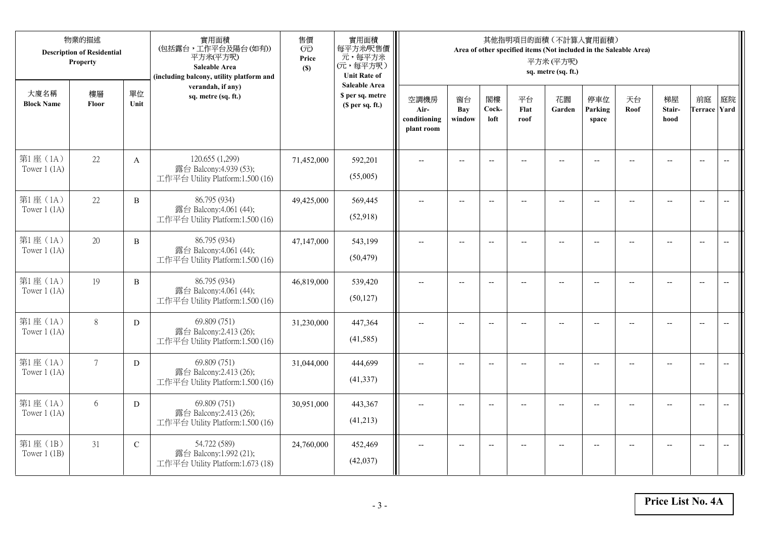|                            | 物業的描述<br><b>Description of Residential</b><br>Property |              | 實用面積<br>(包括露台,工作平台及陽台(如有))<br>平方米(平方呎)<br>Saleable Area<br>(including balcony, utility platform and | 售價<br>(元)<br>Price<br>(S) | 實用面積<br>每平方米/呎售價<br>元,每平方米<br>(元,每平方呎)<br><b>Unit Rate of</b>          |                                            |                          |                          |                          | 其他指明項目的面積 (不計算入實用面積)<br>Area of other specified items (Not included in the Saleable Area)<br>平方米(平方呎)<br>sq. metre (sq. ft.) |                          |                |                                                     |                           |                          |
|----------------------------|--------------------------------------------------------|--------------|-----------------------------------------------------------------------------------------------------|---------------------------|------------------------------------------------------------------------|--------------------------------------------|--------------------------|--------------------------|--------------------------|------------------------------------------------------------------------------------------------------------------------------|--------------------------|----------------|-----------------------------------------------------|---------------------------|--------------------------|
| 大廈名稱<br><b>Block Name</b>  | 樓層<br>Floor                                            | 單位<br>Unit   | verandah, if any)<br>sq. metre (sq. ft.)                                                            |                           | <b>Saleable Area</b><br>\$ per sq. metre<br>(S <sub>per</sub> sq. ft.) | 空調機房<br>Air-<br>conditioning<br>plant room | 窗台<br>Bay<br>window      | 閣樓<br>Cock-<br>loft      | 平台<br>Flat<br>roof       | 花園<br>Garden                                                                                                                 | 停車位<br>Parking<br>space  | 天台<br>Roof     | 梯屋<br>Stair-<br>hood                                | 前庭<br><b>Terrace Yard</b> | 庭院                       |
| 第1座(1A)<br>Tower $1$ (1A)  | 22                                                     | $\mathbf{A}$ | 120.655 (1,299)<br>露台 Balcony:4.939 (53);<br>工作平台 Utility Platform:1.500 (16)                       | 71,452,000                | 592,201<br>(55,005)                                                    |                                            |                          | $\overline{\phantom{a}}$ |                          |                                                                                                                              |                          |                |                                                     | $\overline{a}$            | $\overline{\phantom{a}}$ |
| 第1座(1A)<br>Tower $1$ (1A)  | 22                                                     | B            | 86.795 (934)<br>露台 Balcony:4.061 (44);<br>工作平台 Utility Platform:1.500 (16)                          | 49,425,000                | 569,445<br>(52,918)                                                    | $\overline{\phantom{a}}$                   | $\overline{\phantom{a}}$ | $\overline{\phantom{a}}$ |                          | $\overline{\phantom{a}}$                                                                                                     | $-$                      |                | $\overline{a}$                                      | $-$                       |                          |
| 第1座(1A)<br>Tower $1$ (1A)  | 20                                                     | $\, {\bf B}$ | 86.795 (934)<br>露台 Balcony:4.061 (44);<br>工作平台 Utility Platform:1.500 (16)                          | 47,147,000                | 543,199<br>(50, 479)                                                   |                                            | $\overline{\phantom{a}}$ | $-$                      | $-$                      | $-$                                                                                                                          |                          |                | $\overline{\phantom{a}}$                            | $\overline{\phantom{a}}$  |                          |
| 第1座(1A)<br>Tower $1(1A)$   | 19                                                     | $\, {\bf B}$ | 86.795 (934)<br>露台 Balcony:4.061 (44);<br>工作平台 Utility Platform:1.500 (16)                          | 46,819,000                | 539,420<br>(50, 127)                                                   | $-$                                        | $\overline{\phantom{m}}$ | $\overline{\phantom{a}}$ | $\overline{\phantom{a}}$ | $-$                                                                                                                          | $\overline{\phantom{a}}$ | $\overline{a}$ | $\hspace{0.05cm} -\hspace{0.05cm} -\hspace{0.05cm}$ | $\overline{\phantom{a}}$  | $\overline{\phantom{m}}$ |
| 第1座(1A)<br>Tower $1(1A)$   | 8                                                      | D            | 69.809 (751)<br>露台 Balcony:2.413 (26);<br>工作平台 Utility Platform:1.500 (16)                          | 31,230,000                | 447,364<br>(41,585)                                                    | $\sim$                                     | $\overline{a}$           | $\overline{a}$           | $\overline{a}$           | $-$                                                                                                                          | $\overline{a}$           |                | $\overline{a}$                                      | $\overline{\phantom{a}}$  | $\overline{\phantom{a}}$ |
| 第1座(1A)<br>Tower $1$ (1A)  | $7\overline{ }$                                        | D            | 69.809 (751)<br>露台 Balcony:2.413 (26);<br>工作平台 Utility Platform:1.500 (16)                          | 31,044,000                | 444,699<br>(41, 337)                                                   | $\overline{\phantom{a}}$                   | $\overline{a}$           | $-$                      |                          | $-$                                                                                                                          | $-$                      | $-$            | $\overline{a}$                                      | $\overline{\phantom{a}}$  | $\overline{a}$           |
| 第1座(1A)<br>Tower $1(1A)$   | 6                                                      | D            | 69.809 (751)<br>露台 Balcony:2.413 (26);<br>工作平台 Utility Platform:1.500 (16)                          | 30,951,000                | 443,367<br>(41,213)                                                    |                                            |                          | $\overline{\phantom{a}}$ |                          |                                                                                                                              |                          |                |                                                     | $\overline{\phantom{a}}$  | $\overline{\phantom{a}}$ |
| 第1座 (1B)<br>Tower $1$ (1B) | 31                                                     | $\mathbf C$  | 54.722 (589)<br>露台 Balcony:1.992 (21);<br>工作平台 Utility Platform:1.673 (18)                          | 24,760,000                | 452,469<br>(42, 037)                                                   | $\overline{\phantom{a}}$                   | $-$                      | $-$                      |                          | $\overline{a}$                                                                                                               |                          |                | $-$                                                 | $-$                       | $\overline{\phantom{a}}$ |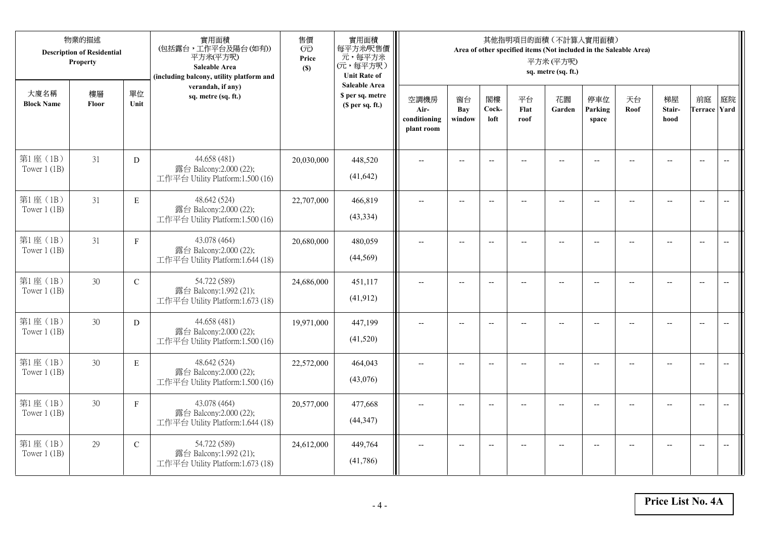|                            | 物業的描述<br><b>Description of Residential</b><br>Property |               | 實用面積<br>(包括露台,工作平台及陽台(如有))<br>平方米(平方呎)<br>Saleable Area<br>(including balcony, utility platform and | 售價<br>(元)<br>Price<br>(S) | 實用面積<br>每平方米/呎售價<br>元,每平方米<br>(元,每平方呎)<br><b>Unit Rate of</b> |                                            |                          |                          |                    | 其他指明項目的面積 (不計算入實用面積)<br>Area of other specified items (Not included in the Saleable Area)<br>平方米(平方呎)<br>sq. metre (sq. ft.) |                         |            |                          |                           |                          |
|----------------------------|--------------------------------------------------------|---------------|-----------------------------------------------------------------------------------------------------|---------------------------|---------------------------------------------------------------|--------------------------------------------|--------------------------|--------------------------|--------------------|------------------------------------------------------------------------------------------------------------------------------|-------------------------|------------|--------------------------|---------------------------|--------------------------|
| 大廈名稱<br><b>Block Name</b>  | 樓層<br>Floor                                            | 單位<br>Unit    | verandah, if any)<br>sq. metre (sq. ft.)                                                            |                           | <b>Saleable Area</b><br>\$ per sq. metre<br>(\$ per sq. ft.)  | 空調機房<br>Air-<br>conditioning<br>plant room | 窗台<br>Bay<br>window      | 閣樓<br>Cock-<br>loft      | 平台<br>Flat<br>roof | 花園<br>Garden                                                                                                                 | 停車位<br>Parking<br>space | 天台<br>Roof | 梯屋<br>Stair-<br>hood     | 前庭<br><b>Terrace Yard</b> | 庭院                       |
| 第1座 (1B)<br>Tower $1$ (1B) | 31                                                     | D             | 44.658 (481)<br>露台 Balcony:2.000 (22);<br>工作平台 Utility Platform:1.500 (16)                          | 20,030,000                | 448,520<br>(41, 642)                                          |                                            |                          | $-$                      |                    |                                                                                                                              |                         |            |                          | $\overline{\phantom{a}}$  | $\overline{\phantom{a}}$ |
| 第1座 (1B)<br>Tower $1$ (1B) | 31                                                     | $\mathbf E$   | 48.642 (524)<br>露台 Balcony:2.000 (22);<br>工作平台 Utility Platform:1.500 (16)                          | 22,707,000                | 466,819<br>(43, 334)                                          | $\overline{a}$                             | $\overline{\phantom{a}}$ | $\overline{\phantom{a}}$ | --                 | $\overline{\phantom{a}}$                                                                                                     | $-$                     | $-$        | $\overline{a}$           | $\overline{a}$            | $-$                      |
| 第1座(1B)<br>Tower $1$ (1B)  | 31                                                     | $\mathbf{F}$  | 43.078 (464)<br>露台 Balcony:2.000 (22);<br>工作平台 Utility Platform:1.644 (18)                          | 20,680,000                | 480,059<br>(44, 569)                                          |                                            | $\overline{a}$           | $-$                      |                    | $\overline{a}$                                                                                                               |                         |            |                          | $\overline{a}$            |                          |
| 第1座(1B)<br>Tower $1(1B)$   | 30                                                     | $\mathbf C$   | 54.722 (589)<br>露台 Balcony:1.992 (21);<br>工作平台 Utility Platform:1.673 (18)                          | 24,686,000                | 451,117<br>(41, 912)                                          | $\overline{\phantom{a}}$                   | $-$                      | $-$                      | $\overline{a}$     | $\overline{\phantom{a}}$                                                                                                     | $\overline{a}$          |            | $\overline{\phantom{a}}$ | $\overline{\phantom{a}}$  | $\overline{\phantom{m}}$ |
| 第1座 (1B)<br>Tower $1$ (1B) | 30                                                     | D             | 44.658 (481)<br>露台 Balcony:2.000 (22);<br>工作平台 Utility Platform:1.500 (16)                          | 19,971,000                | 447,199<br>(41,520)                                           | $\overline{a}$                             | $- -$                    | $\overline{\phantom{a}}$ | $\qquad \qquad -$  | $-$                                                                                                                          | $-$                     | --         | $-$                      | $\overline{\phantom{m}}$  | $\overline{\phantom{m}}$ |
| 第1座 (1B)<br>Tower $1$ (1B) | 30                                                     | E             | 48.642 (524)<br>露台 Balcony:2.000 (22);<br>工作平台 Utility Platform:1.500 (16)                          | 22,572,000                | 464,043<br>(43,076)                                           |                                            | $-$                      | $-$                      |                    |                                                                                                                              |                         |            | $-$                      | $\overline{\phantom{a}}$  | $-$                      |
| 第1座(1B)<br>Tower $1$ (1B)  | 30                                                     | $\mathbf F$   | 43.078 (464)<br>露台 Balcony:2.000 (22);<br>工作平台 Utility Platform:1.644 (18)                          | 20,577,000                | 477,668<br>(44, 347)                                          |                                            | $-$                      | $-$                      |                    | $\sim$                                                                                                                       |                         |            | $\overline{a}$           | $-$                       | $\overline{a}$           |
| 第1座 (1B)<br>Tower $1$ (1B) | 29                                                     | $\mathcal{C}$ | 54.722 (589)<br>露台 Balcony:1.992 (21);<br>工作平台 Utility Platform:1.673 (18)                          | 24,612,000                | 449,764<br>(41,786)                                           |                                            | $-$                      |                          |                    | --                                                                                                                           |                         |            |                          | $\overline{a}$            | $-$                      |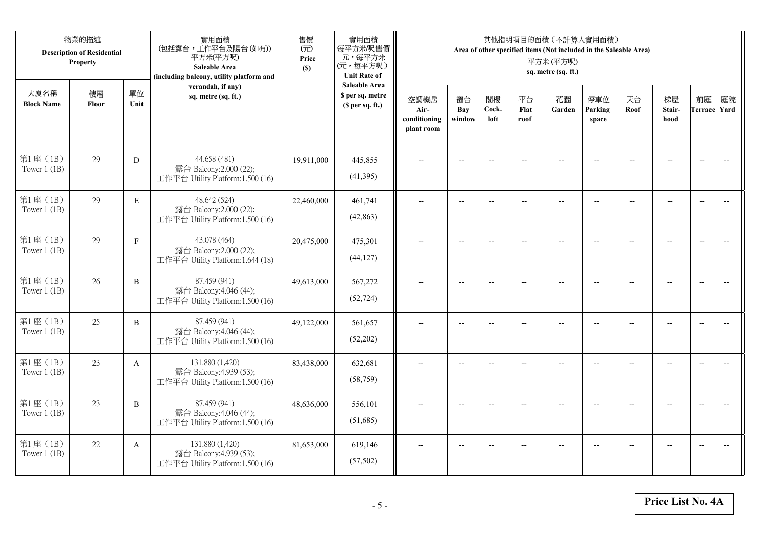|                            | 物業的描述<br><b>Description of Residential</b><br>Property |              | 實用面積<br>(包括露台,工作平台及陽台(如有))<br>平方米(平方呎)<br>Saleable Area<br>(including balcony, utility platform and | 售價<br>(元)<br>Price<br>(S) | 實用面積<br>每平方米/呎售價<br>元,每平方米<br>(元,每平方呎)<br><b>Unit Rate of</b>          |                                            |                          |                          |                          | 其他指明項目的面積 (不計算入實用面積)<br>Area of other specified items (Not included in the Saleable Area)<br>平方米(平方呎)<br>sq. metre (sq. ft.) |                          |                          |                                                     |                           |                          |
|----------------------------|--------------------------------------------------------|--------------|-----------------------------------------------------------------------------------------------------|---------------------------|------------------------------------------------------------------------|--------------------------------------------|--------------------------|--------------------------|--------------------------|------------------------------------------------------------------------------------------------------------------------------|--------------------------|--------------------------|-----------------------------------------------------|---------------------------|--------------------------|
| 大廈名稱<br><b>Block Name</b>  | 樓層<br>Floor                                            | 單位<br>Unit   | verandah, if any)<br>sq. metre (sq. ft.)                                                            |                           | <b>Saleable Area</b><br>\$ per sq. metre<br>(S <sub>per</sub> sq. ft.) | 空調機房<br>Air-<br>conditioning<br>plant room | 窗台<br>Bay<br>window      | 閣樓<br>Cock-<br>loft      | 平台<br>Flat<br>roof       | 花園<br>Garden                                                                                                                 | 停車位<br>Parking<br>space  | 天台<br>Roof               | 梯屋<br>Stair-<br>hood                                | 前庭<br><b>Terrace Yard</b> | 庭院                       |
| 第1座(1B)<br>Tower $1$ (1B)  | 29                                                     | D            | 44.658 (481)<br>露台 Balcony:2.000 (22);<br>工作平台 Utility Platform:1.500 (16)                          | 19,911,000                | 445,855<br>(41,395)                                                    |                                            | $-$                      | $\overline{\phantom{a}}$ |                          |                                                                                                                              |                          |                          |                                                     | $\overline{a}$            | $\overline{\phantom{a}}$ |
| 第1座 (1B)<br>Tower $1$ (1B) | 29                                                     | $\mathbf E$  | 48.642 (524)<br>露台 Balcony:2.000 (22);<br>工作平台 Utility Platform:1.500 (16)                          | 22,460,000                | 461,741<br>(42, 863)                                                   | $\overline{\phantom{a}}$                   | $\overline{\phantom{a}}$ | $\overline{\phantom{a}}$ | $-$                      | $\overline{\phantom{a}}$                                                                                                     | $-$                      | $\overline{\phantom{a}}$ | $\overline{a}$                                      | $-$                       | $\overline{\phantom{m}}$ |
| 第1座 (1B)<br>Tower $1$ (1B) | 29                                                     | $\mathbf F$  | 43.078 (464)<br>露台 Balcony:2.000 (22);<br>工作平台 Utility Platform:1.644 (18)                          | 20,475,000                | 475,301<br>(44, 127)                                                   |                                            | $\overline{\phantom{a}}$ | $\overline{\phantom{a}}$ | $-$                      | $-$                                                                                                                          | --                       |                          | $\overline{\phantom{a}}$                            | $\overline{\phantom{a}}$  |                          |
| 第1座 (1B)<br>Tower $1$ (1B) | 26                                                     | $\, {\bf B}$ | 87.459 (941)<br>露台 Balcony:4.046 (44);<br>工作平台 Utility Platform:1.500 (16)                          | 49,613,000                | 567,272<br>(52, 724)                                                   | $-$                                        | $\overline{\phantom{m}}$ | $\overline{\phantom{a}}$ | $\overline{\phantom{a}}$ | $-$                                                                                                                          | $\overline{\phantom{a}}$ | --                       | $\hspace{0.05cm} -\hspace{0.05cm} -\hspace{0.05cm}$ | $-$                       | $\overline{\phantom{m}}$ |
| 第1座(1B)<br>Tower $1$ (1B)  | 25                                                     | $\, {\bf B}$ | 87.459 (941)<br>露台 Balcony:4.046 (44);<br>工作平台 Utility Platform:1.500 (16)                          | 49,122,000                | 561,657<br>(52,202)                                                    | $\sim$                                     | $\overline{a}$           | $\overline{a}$           | $\overline{a}$           | $-$                                                                                                                          | $\overline{a}$           |                          | $\overline{a}$                                      | $\overline{\phantom{a}}$  | $\overline{\phantom{a}}$ |
| 第1座(1B)<br>Tower $1$ (1B)  | 23                                                     | A            | 131.880 (1,420)<br>露台 Balcony:4.939 (53);<br>工作平台 Utility Platform:1.500 (16)                       | 83,438,000                | 632,681<br>(58, 759)                                                   | $\overline{\phantom{a}}$                   | $\overline{a}$           | $\overline{\phantom{a}}$ |                          | $\overline{a}$                                                                                                               | $-$                      | $-$                      | $\sim$                                              | $\overline{\phantom{a}}$  | $\sim$                   |
| 第1座 (1B)<br>Tower $1(1B)$  | 23                                                     | B            | 87.459 (941)<br>露台 Balcony:4.046 (44);<br>工作平台 Utility Platform:1.500 (16)                          | 48,636,000                | 556,101<br>(51,685)                                                    |                                            |                          | $\overline{\phantom{a}}$ |                          |                                                                                                                              |                          |                          |                                                     | $\overline{\phantom{a}}$  | $-$                      |
| 第1座 (1B)<br>Tower $1$ (1B) | 22                                                     | A            | 131.880 (1,420)<br>露台 Balcony:4.939 (53);<br>工作平台 Utility Platform:1.500 (16)                       | 81,653,000                | 619,146<br>(57, 502)                                                   | $\overline{\phantom{a}}$                   | $-$                      | $\overline{\phantom{a}}$ | $\overline{a}$           | $\overline{a}$                                                                                                               | $-$                      |                          | $-$                                                 | $-$                       | $\overline{\phantom{a}}$ |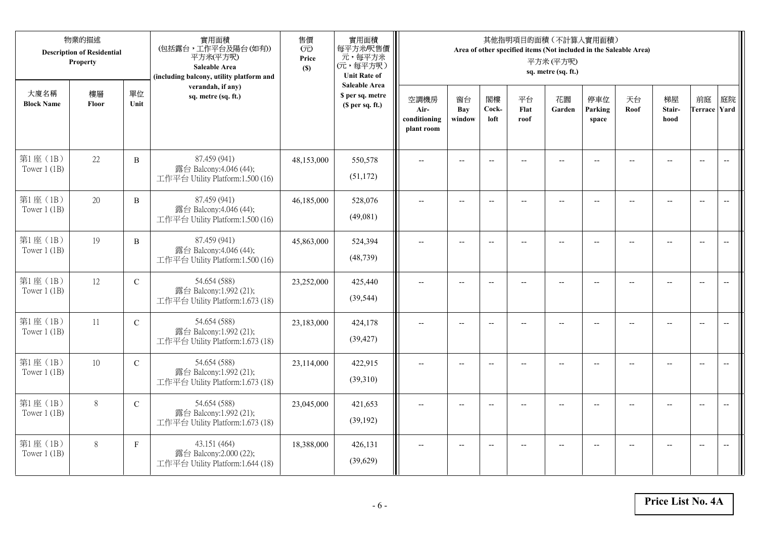|                            | 物業的描述<br><b>Description of Residential</b><br>Property |               | 實用面積<br>(包括露台,工作平台及陽台(如有))<br>平方米(平方呎)<br>Saleable Area<br>(including balcony, utility platform and | 售價<br>(元)<br>Price<br>(S) | 實用面積<br>每平方米/呎售價<br>元,每平方米<br>(元,每平方呎)<br><b>Unit Rate of</b>          |                                            |                          |                          |                          | 其他指明項目的面積 (不計算入實用面積)<br>Area of other specified items (Not included in the Saleable Area)<br>平方米(平方呎)<br>sq. metre (sq. ft.) |                          |                |                                                     |                           |                          |
|----------------------------|--------------------------------------------------------|---------------|-----------------------------------------------------------------------------------------------------|---------------------------|------------------------------------------------------------------------|--------------------------------------------|--------------------------|--------------------------|--------------------------|------------------------------------------------------------------------------------------------------------------------------|--------------------------|----------------|-----------------------------------------------------|---------------------------|--------------------------|
| 大廈名稱<br><b>Block Name</b>  | 樓層<br>Floor                                            | 單位<br>Unit    | verandah, if any)<br>sq. metre (sq. ft.)                                                            |                           | <b>Saleable Area</b><br>\$ per sq. metre<br>(S <sub>per</sub> sq. ft.) | 空調機房<br>Air-<br>conditioning<br>plant room | 窗台<br>Bay<br>window      | 閣樓<br>Cock-<br>loft      | 平台<br>Flat<br>roof       | 花園<br>Garden                                                                                                                 | 停車位<br>Parking<br>space  | 天台<br>Roof     | 梯屋<br>Stair-<br>hood                                | 前庭<br><b>Terrace Yard</b> | 庭院                       |
| 第1座(1B)<br>Tower $1$ (1B)  | 22                                                     | $\, {\bf B}$  | 87.459 (941)<br>露台 Balcony:4.046 (44);<br>工作平台 Utility Platform:1.500 (16)                          | 48,153,000                | 550,578<br>(51, 172)                                                   |                                            |                          | $\overline{a}$           |                          |                                                                                                                              |                          |                |                                                     | $\overline{a}$            | $\overline{\phantom{a}}$ |
| 第1座 (1B)<br>Tower $1$ (1B) | 20                                                     | B             | 87.459 (941)<br>露台 Balcony:4.046 (44);<br>工作平台 Utility Platform:1.500 (16)                          | 46,185,000                | 528,076<br>(49,081)                                                    | $\overline{\phantom{a}}$                   | $\overline{\phantom{a}}$ | $\overline{a}$           |                          | $\overline{a}$                                                                                                               | $-$                      |                | $\overline{a}$                                      | $-$                       |                          |
| 第1座 (1B)<br>Tower $1$ (1B) | 19                                                     | $\, {\bf B}$  | 87.459 (941)<br>露台 Balcony:4.046 (44);<br>工作平台 Utility Platform:1.500 (16)                          | 45,863,000                | 524,394<br>(48, 739)                                                   |                                            | $\overline{\phantom{a}}$ | $-$                      | $-$                      | $-$                                                                                                                          |                          |                | $\overline{\phantom{a}}$                            | $\overline{\phantom{a}}$  |                          |
| 第1座(1B)<br>Tower $1$ (1B)  | 12                                                     | $\mathbf C$   | 54.654 (588)<br>露台 Balcony:1.992 (21);<br>工作平台 Utility Platform:1.673 (18)                          | 23,252,000                | 425,440<br>(39, 544)                                                   | $-$                                        | $\overline{\phantom{m}}$ | $\overline{\phantom{a}}$ | $\overline{\phantom{a}}$ | $-$                                                                                                                          | $\overline{\phantom{a}}$ | $\overline{a}$ | $\hspace{0.05cm} -\hspace{0.05cm} -\hspace{0.05cm}$ | $\overline{\phantom{a}}$  | $\overline{\phantom{m}}$ |
| 第1座 (1B)<br>Tower $1$ (1B) | 11                                                     | $\mathbf C$   | 54.654 (588)<br>露台 Balcony:1.992 (21);<br>工作平台 Utility Platform:1.673 (18)                          | 23,183,000                | 424,178<br>(39, 427)                                                   | $\sim$                                     | $\overline{a}$           | $\overline{a}$           | $\overline{a}$           | $-$                                                                                                                          | $\overline{a}$           |                | $\overline{a}$                                      | $\overline{\phantom{a}}$  | $\overline{\phantom{a}}$ |
| 第1座(1B)<br>Tower $1$ (1B)  | 10                                                     | $\mathcal{C}$ | 54.654 (588)<br>露台 Balcony:1.992 (21);<br>工作平台 Utility Platform:1.673 (18)                          | 23,114,000                | 422,915<br>(39,310)                                                    | $\overline{\phantom{a}}$                   | $\overline{a}$           | $\overline{\phantom{a}}$ |                          | $-$                                                                                                                          | $-$                      | $-$            | $\overline{a}$                                      | $\overline{\phantom{a}}$  | $\sim$                   |
| 第1座 (1B)<br>Tower $1(1B)$  | $8\,$                                                  | $\mathcal{C}$ | 54.654 (588)<br>露台 Balcony:1.992 (21);<br>工作平台 Utility Platform:1.673 (18)                          | 23,045,000                | 421,653<br>(39, 192)                                                   |                                            |                          | $\overline{\phantom{a}}$ |                          |                                                                                                                              |                          |                |                                                     | $\overline{\phantom{a}}$  | $\overline{\phantom{a}}$ |
| 第1座 (1B)<br>Tower $1$ (1B) | 8                                                      | $\mathbf{F}$  | 43.151 (464)<br>露台 Balcony:2.000 (22);<br>工作平台 Utility Platform:1.644 (18)                          | 18,388,000                | 426,131<br>(39,629)                                                    |                                            | $-$                      | $\overline{\phantom{a}}$ |                          | $\overline{a}$                                                                                                               | $-$                      |                | $-$                                                 | $-$                       | $\overline{\phantom{a}}$ |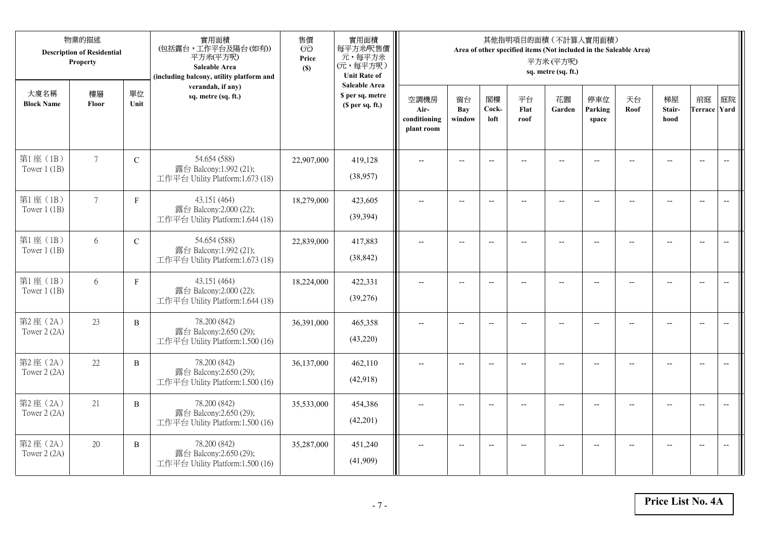|                           | 物業的描述<br><b>Description of Residential</b><br>Property |              | 實用面積<br>(包括露台,工作平台及陽台(如有))<br>平方米(平方呎)<br>Saleable Area<br>(including balcony, utility platform and | 售價<br>(元)<br>Price<br>(S) | 實用面積<br>每平方米/呎售價<br>元,每平方米<br>(元,每平方呎)<br><b>Unit Rate of</b>          |                                            |                            |                          |                          | 其他指明項目的面積 (不計算入實用面積)<br>Area of other specified items (Not included in the Saleable Area)<br>平方米(平方呎)<br>sq. metre (sq. ft.) |                          |                |                          |                           |                          |
|---------------------------|--------------------------------------------------------|--------------|-----------------------------------------------------------------------------------------------------|---------------------------|------------------------------------------------------------------------|--------------------------------------------|----------------------------|--------------------------|--------------------------|------------------------------------------------------------------------------------------------------------------------------|--------------------------|----------------|--------------------------|---------------------------|--------------------------|
| 大廈名稱<br><b>Block Name</b> | 樓層<br>Floor                                            | 單位<br>Unit   | verandah, if any)<br>sq. metre (sq. ft.)                                                            |                           | <b>Saleable Area</b><br>\$ per sq. metre<br>(S <sub>per</sub> sq. ft.) | 空調機房<br>Air-<br>conditioning<br>plant room | 窗台<br><b>Bay</b><br>window | 閣樓<br>Cock-<br>loft      | 平台<br>Flat<br>roof       | 花園<br>Garden                                                                                                                 | 停車位<br>Parking<br>space  | 天台<br>Roof     | 梯屋<br>Stair-<br>hood     | 前庭<br><b>Terrace Yard</b> | 庭院                       |
| 第1座(1B)<br>Tower $1$ (1B) | $7\phantom{.0}$                                        | $\mathbf C$  | 54.654 (588)<br>露台 Balcony:1.992 (21);<br>工作平台 Utility Platform:1.673 (18)                          | 22,907,000                | 419,128<br>(38,957)                                                    |                                            |                            | $\overline{a}$           |                          |                                                                                                                              |                          |                |                          | $\overline{a}$            | $\overline{\phantom{a}}$ |
| 第1座(1B)<br>Tower $1$ (1B) | $7\overline{ }$                                        | $\mathbf{F}$ | 43.151 (464)<br>露台 Balcony:2.000 (22);<br>工作平台 Utility Platform:1.644 (18)                          | 18,279,000                | 423,605<br>(39, 394)                                                   | $\overline{\phantom{a}}$                   | $\overline{\phantom{a}}$   | $\overline{a}$           |                          | $\overline{a}$                                                                                                               | $-$                      |                | $\overline{a}$           | $-$                       |                          |
| 第1座(1B)<br>Tower $1$ (1B) | 6                                                      | $\mathbf C$  | 54.654 (588)<br>露台 Balcony:1.992 (21);<br>工作平台 Utility Platform:1.673 (18)                          | 22,839,000                | 417,883<br>(38, 842)                                                   |                                            | $\overline{\phantom{a}}$   | $-$                      | $-$                      | $-$                                                                                                                          |                          |                | $\overline{\phantom{a}}$ | $\overline{\phantom{a}}$  |                          |
| 第1座(1B)<br>Tower $1$ (1B) | 6                                                      | $\mathbf F$  | 43.151 (464)<br>露台 Balcony:2.000 (22);<br>工作平台 Utility Platform:1.644 (18)                          | 18,224,000                | 422,331<br>(39,276)                                                    | $-$                                        | $-$                        | $\overline{\phantom{a}}$ | $\overline{\phantom{a}}$ | $-$                                                                                                                          | $\overline{\phantom{a}}$ | $\overline{a}$ | --                       | $-$                       | $\overline{\phantom{m}}$ |
| 第2座 (2A)<br>Tower 2 (2A)  | 23                                                     | $\, {\bf B}$ | 78.200 (842)<br>露台 Balcony:2.650 (29);<br>工作平台 Utility Platform:1.500 (16)                          | 36,391,000                | 465,358<br>(43,220)                                                    | $\sim$                                     | $\overline{a}$             | $\overline{a}$           | $\overline{a}$           | $-$                                                                                                                          | $\overline{a}$           |                | $\overline{a}$           | $\overline{\phantom{a}}$  | $\overline{\phantom{a}}$ |
| 第2座(2A)<br>Tower 2 (2A)   | 22                                                     | $\, {\bf B}$ | 78.200 (842)<br>露台 Balcony:2.650 (29);<br>工作平台 Utility Platform:1.500 (16)                          | 36,137,000                | 462,110<br>(42,918)                                                    | $\overline{\phantom{a}}$                   | $\overline{a}$             | $\overline{\phantom{a}}$ |                          | $-$                                                                                                                          | $-$                      | $-$            | $\overline{a}$           | $\overline{\phantom{a}}$  | $\sim$                   |
| 第2座(2A)<br>Tower 2 (2A)   | 21                                                     | B            | 78.200 (842)<br>露台 Balcony:2.650 (29);<br>工作平台 Utility Platform:1.500 (16)                          | 35,533,000                | 454,386<br>(42,201)                                                    |                                            |                            | $\overline{\phantom{a}}$ |                          |                                                                                                                              |                          |                |                          | $\overline{\phantom{a}}$  | $\overline{\phantom{a}}$ |
| 第2座(2A)<br>Tower 2 (2A)   | 20                                                     | B            | 78.200 (842)<br>露台 Balcony:2.650 (29);<br>工作平台 Utility Platform:1.500 (16)                          | 35,287,000                | 451,240<br>(41,909)                                                    | $\overline{\phantom{a}}$                   | $-$                        | $\overline{\phantom{a}}$ |                          | $\overline{a}$                                                                                                               | $-$                      |                | $-$                      | $-$                       | $\overline{\phantom{a}}$ |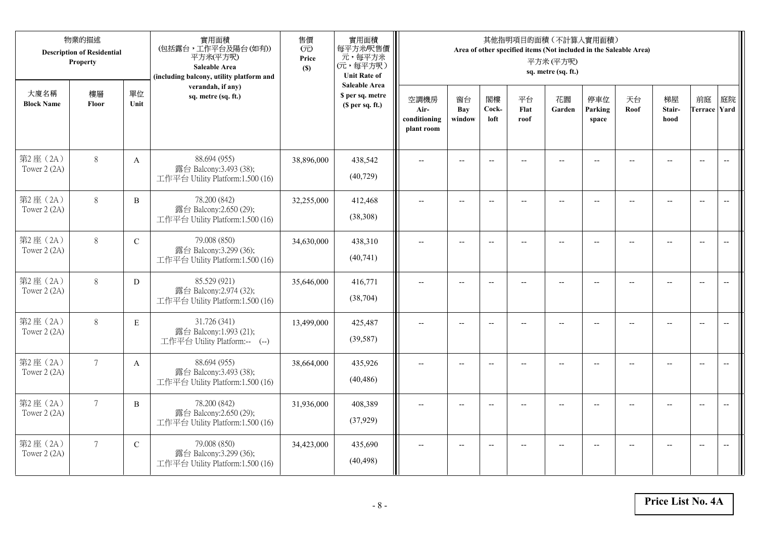|                           | 物業的描述<br><b>Description of Residential</b><br>Property |              | 實用面積<br>(包括露台,工作平台及陽台(如有))<br>平方米(平方呎)<br>Saleable Area<br>(including balcony, utility platform and | 售價<br>(元)<br>Price<br>(S) | 實用面積<br>每平方米/呎售價<br>元,每平方米<br>(元,每平方呎)<br><b>Unit Rate of</b>          |                                            |                          |                          |                          | 其他指明項目的面積 (不計算入實用面積)<br>Area of other specified items (Not included in the Saleable Area)<br>平方米(平方呎)<br>sq. metre (sq. ft.) |                          |                |                          |                           |                          |
|---------------------------|--------------------------------------------------------|--------------|-----------------------------------------------------------------------------------------------------|---------------------------|------------------------------------------------------------------------|--------------------------------------------|--------------------------|--------------------------|--------------------------|------------------------------------------------------------------------------------------------------------------------------|--------------------------|----------------|--------------------------|---------------------------|--------------------------|
| 大廈名稱<br><b>Block Name</b> | 樓層<br>Floor                                            | 單位<br>Unit   | verandah, if any)<br>sq. metre (sq. ft.)                                                            |                           | <b>Saleable Area</b><br>\$ per sq. metre<br>(S <sub>per</sub> sq. ft.) | 空調機房<br>Air-<br>conditioning<br>plant room | 窗台<br>Bay<br>window      | 閣樓<br>Cock-<br>loft      | 平台<br>Flat<br>roof       | 花園<br>Garden                                                                                                                 | 停車位<br>Parking<br>space  | 天台<br>Roof     | 梯屋<br>Stair-<br>hood     | 前庭<br><b>Terrace Yard</b> | 庭院                       |
| 第2座(2A)<br>Tower 2 (2A)   | $8\,$                                                  | $\mathbf{A}$ | 88.694 (955)<br>露台 Balcony:3.493 (38);<br>工作平台 Utility Platform:1.500 (16)                          | 38,896,000                | 438,542<br>(40, 729)                                                   |                                            |                          | $\overline{a}$           |                          |                                                                                                                              |                          |                |                          | $\overline{a}$            | $\overline{\phantom{a}}$ |
| 第2座(2A)<br>Tower 2 (2A)   | $8\,$                                                  | B            | 78.200 (842)<br>露台 Balcony:2.650 (29);<br>工作平台 Utility Platform:1.500 (16)                          | 32,255,000                | 412,468<br>(38,308)                                                    | $\overline{\phantom{a}}$                   | $\overline{\phantom{a}}$ | $\overline{a}$           |                          | $\overline{a}$                                                                                                               | $-$                      |                | $\overline{a}$           | $-$                       |                          |
| 第2座(2A)<br>Tower 2 (2A)   | $8\,$                                                  | $\mathbf C$  | 79.008 (850)<br>露台 Balcony:3.299 (36);<br>工作平台 Utility Platform:1.500 (16)                          | 34,630,000                | 438,310<br>(40,741)                                                    |                                            | $\overline{\phantom{a}}$ | $-$                      | $-$                      | $-$                                                                                                                          |                          |                | $\overline{\phantom{a}}$ | $\overline{\phantom{a}}$  |                          |
| 第2座(2A)<br>Tower 2 (2A)   | $8\,$                                                  | D            | 85.529 (921)<br>露台 Balcony:2.974 (32);<br>工作平台 Utility Platform:1.500 (16)                          | 35,646,000                | 416,771<br>(38, 704)                                                   | $-$                                        | $-$                      | $\overline{\phantom{a}}$ | $\overline{\phantom{a}}$ | $-$                                                                                                                          | $\overline{\phantom{a}}$ | $\overline{a}$ | --                       | $-$                       | $\overline{\phantom{m}}$ |
| 第2座 (2A)<br>Tower 2 (2A)  | 8                                                      | $\mathbf E$  | 31.726 (341)<br>露台 Balcony:1.993 (21);<br>工作平台 Utility Platform:-- (--)                             | 13,499,000                | 425,487<br>(39, 587)                                                   | $\sim$                                     | $\overline{a}$           | $\overline{a}$           | $\overline{a}$           | $-$                                                                                                                          | $\overline{a}$           |                | $\overline{a}$           | $\overline{\phantom{a}}$  | $\overline{\phantom{a}}$ |
| 第2座(2A)<br>Tower 2 (2A)   | $7\overline{ }$                                        | A            | 88.694 (955)<br>露台 Balcony:3.493 (38);<br>工作平台 Utility Platform:1.500 (16)                          | 38,664,000                | 435,926<br>(40, 486)                                                   | $\overline{\phantom{a}}$                   | $\overline{a}$           | $-$                      |                          | $-$                                                                                                                          | $-$                      | $-$            | $-$                      | $\overline{\phantom{a}}$  | $\overline{a}$           |
| 第2座(2A)<br>Tower 2 (2A)   | $\overline{7}$                                         | B            | 78.200 (842)<br>露台 Balcony:2.650 (29);<br>工作平台 Utility Platform:1.500 (16)                          | 31,936,000                | 408,389<br>(37, 929)                                                   |                                            |                          | $\overline{\phantom{a}}$ |                          |                                                                                                                              |                          |                |                          | $\overline{\phantom{a}}$  | $\overline{a}$           |
| 第2座(2A)<br>Tower 2 (2A)   | $7\overline{ }$                                        | $\mathbf C$  | 79.008 (850)<br>露台 Balcony:3.299 (36);<br>工作平台 Utility Platform:1.500 (16)                          | 34,423,000                | 435,690<br>(40, 498)                                                   | $\overline{\phantom{a}}$                   | $-$                      | $-$                      |                          | $\overline{a}$                                                                                                               | $-$                      |                | $-$                      | $-$                       | $\overline{\phantom{a}}$ |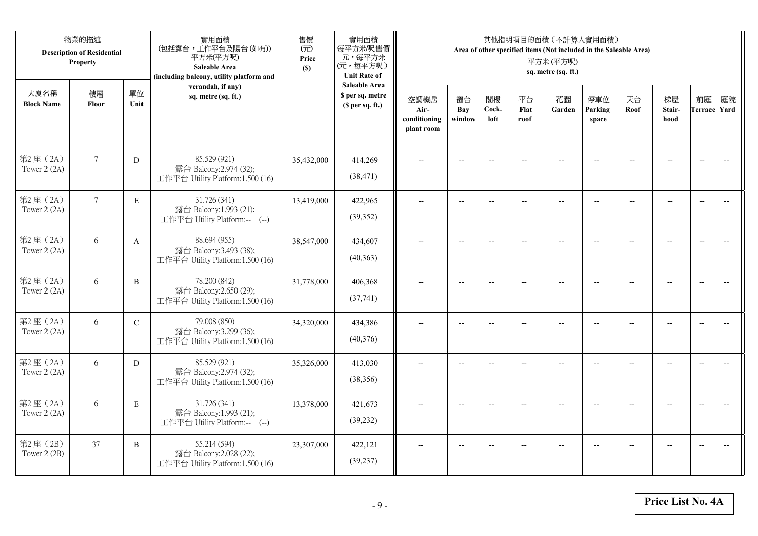|                           | 物業的描述<br><b>Description of Residential</b><br>Property |             | 實用面積<br>(包括露台,工作平台及陽台(如有))<br>平方米(平方呎)<br>Saleable Area<br>(including balcony, utility platform and | 售價<br>(元)<br>Price<br>(S) | 實用面積<br>每平方米/呎售價<br>元,每平方米<br>(元,每平方呎)<br><b>Unit Rate of</b>          |                                            |                          |                          |                          | 其他指明項目的面積 (不計算入實用面積)<br>Area of other specified items (Not included in the Saleable Area)<br>平方米(平方呎)<br>sq. metre (sq. ft.) |                          |                |                          |                           |                          |
|---------------------------|--------------------------------------------------------|-------------|-----------------------------------------------------------------------------------------------------|---------------------------|------------------------------------------------------------------------|--------------------------------------------|--------------------------|--------------------------|--------------------------|------------------------------------------------------------------------------------------------------------------------------|--------------------------|----------------|--------------------------|---------------------------|--------------------------|
| 大廈名稱<br><b>Block Name</b> | 樓層<br>Floor                                            | 單位<br>Unit  | verandah, if any)<br>sq. metre (sq. ft.)                                                            |                           | <b>Saleable Area</b><br>\$ per sq. metre<br>(S <sub>per</sub> sq. ft.) | 空調機房<br>Air-<br>conditioning<br>plant room | 窗台<br>Bay<br>window      | 閣樓<br>Cock-<br>loft      | 平台<br>Flat<br>roof       | 花園<br>Garden                                                                                                                 | 停車位<br>Parking<br>space  | 天台<br>Roof     | 梯屋<br>Stair-<br>hood     | 前庭<br><b>Terrace Yard</b> | 庭院                       |
| 第2座(2A)<br>Tower 2 (2A)   | $7\phantom{.0}$                                        | ${\rm D}$   | 85.529 (921)<br>露台 Balcony:2.974 (32);<br>工作平台 Utility Platform:1.500 (16)                          | 35,432,000                | 414,269<br>(38, 471)                                                   |                                            |                          | $\overline{a}$           |                          |                                                                                                                              |                          |                |                          | $\overline{a}$            | $\overline{\phantom{a}}$ |
| 第2座(2A)<br>Tower 2 (2A)   | $7\overline{ }$                                        | E           | 31.726 (341)<br>露台 Balcony:1.993 (21);<br>工作平台 Utility Platform:-- (--)                             | 13,419,000                | 422,965<br>(39, 352)                                                   | $\overline{\phantom{a}}$                   | $\overline{\phantom{a}}$ | $\overline{a}$           |                          | $\overline{a}$                                                                                                               | $-$                      |                | $\overline{a}$           | $-$                       |                          |
| 第2座(2A)<br>Tower 2 (2A)   | 6                                                      | A           | 88.694 (955)<br>露台 Balcony:3.493 (38);<br>工作平台 Utility Platform:1.500 (16)                          | 38,547,000                | 434,607<br>(40,363)                                                    |                                            | $\overline{\phantom{a}}$ | $-$                      | $-$                      | $-$                                                                                                                          |                          |                | $\overline{\phantom{a}}$ | $\overline{\phantom{a}}$  |                          |
| 第2座(2A)<br>Tower 2 (2A)   | 6                                                      | B           | 78.200 (842)<br>露台 Balcony:2.650 (29);<br>工作平台 Utility Platform:1.500 (16)                          | 31,778,000                | 406,368<br>(37,741)                                                    | $-$                                        | $\overline{\phantom{m}}$ | $\overline{\phantom{a}}$ | $\overline{\phantom{a}}$ | $-$                                                                                                                          | $\overline{\phantom{a}}$ | $\overline{a}$ | --                       | $-$                       | $\overline{\phantom{m}}$ |
| 第2座 (2A)<br>Tower 2 (2A)  | 6                                                      | $\mathbf C$ | 79.008 (850)<br>露台 Balcony:3.299 (36);<br>工作平台 Utility Platform:1.500 (16)                          | 34,320,000                | 434,386<br>(40,376)                                                    | $\sim$                                     | $\overline{a}$           | $\overline{a}$           | $\overline{a}$           | $\overline{\phantom{a}}$                                                                                                     | $\overline{a}$           |                | $\overline{a}$           | $\overline{\phantom{a}}$  | $\overline{\phantom{a}}$ |
| 第2座(2A)<br>Tower 2 (2A)   | 6                                                      | D           | 85.529 (921)<br>露台 Balcony:2.974 (32);<br>工作平台 Utility Platform:1.500 (16)                          | 35,326,000                | 413,030<br>(38, 356)                                                   | $\overline{\phantom{a}}$                   | $\overline{a}$           | $\overline{\phantom{a}}$ |                          | $\overline{a}$                                                                                                               | $-$                      | $-$            | $\overline{a}$           | $\overline{\phantom{a}}$  | $\sim$                   |
| 第2座(2A)<br>Tower 2 (2A)   | 6                                                      | E           | 31.726 (341)<br>露台 Balcony:1.993 (21);<br>工作平台 Utility Platform:-- (--)                             | 13,378,000                | 421,673<br>(39, 232)                                                   |                                            |                          | $\overline{\phantom{a}}$ |                          |                                                                                                                              |                          |                |                          | $\overline{\phantom{a}}$  | $\overline{\phantom{a}}$ |
| 第2座 (2B)<br>Tower $2(2B)$ | 37                                                     | B           | 55.214 (594)<br>露台 Balcony:2.028 (22);<br>工作平台 Utility Platform:1.500 (16)                          | 23,307,000                | 422,121<br>(39, 237)                                                   | $\overline{\phantom{a}}$                   | $-$                      | $\overline{\phantom{a}}$ |                          | $\overline{a}$                                                                                                               | $-$                      |                | $-$                      | $-$                       | $\overline{\phantom{a}}$ |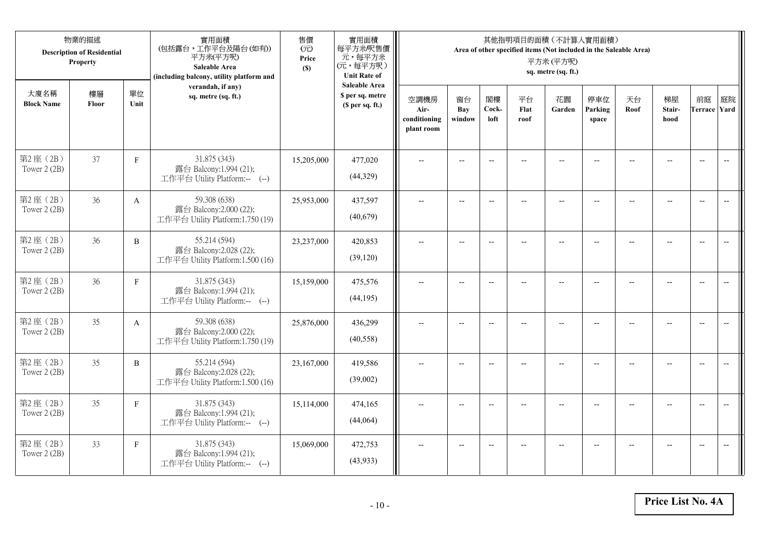|                           | 物業的描述<br><b>Description of Residential</b><br>Property |              | 實用面積<br>(包括露台,工作平台及陽台(如有))<br>平方米(平方呎)<br>Saleable Area<br>(including balcony, utility platform and | 售價<br>(元)<br>Price<br>(S) | 實用面積<br>每平方米/呎售價<br>元,每平方米<br>(元,每平方呎)<br><b>Unit Rate of</b>          |                                            |                          |                          |                          | 其他指明項目的面積 (不計算入實用面積)<br>Area of other specified items (Not included in the Saleable Area)<br>平方米(平方呎)<br>sq. metre (sq. ft.) |                          |                |                                                     |                           |                          |
|---------------------------|--------------------------------------------------------|--------------|-----------------------------------------------------------------------------------------------------|---------------------------|------------------------------------------------------------------------|--------------------------------------------|--------------------------|--------------------------|--------------------------|------------------------------------------------------------------------------------------------------------------------------|--------------------------|----------------|-----------------------------------------------------|---------------------------|--------------------------|
| 大廈名稱<br><b>Block Name</b> | 樓層<br>Floor                                            | 單位<br>Unit   | verandah, if any)<br>sq. metre (sq. ft.)                                                            |                           | <b>Saleable Area</b><br>\$ per sq. metre<br>(S <sub>per</sub> sq. ft.) | 空調機房<br>Air-<br>conditioning<br>plant room | 窗台<br>Bay<br>window      | 閣樓<br>Cock-<br>loft      | 平台<br>Flat<br>roof       | 花園<br>Garden                                                                                                                 | 停車位<br>Parking<br>space  | 天台<br>Roof     | 梯屋<br>Stair-<br>hood                                | 前庭<br><b>Terrace Yard</b> | 庭院                       |
| 第2座(2B)<br>Tower 2 (2B)   | 37                                                     | $\mathbf F$  | 31.875 (343)<br>露台 Balcony:1.994 (21);<br>工作平台 Utility Platform:-- (--)                             | 15,205,000                | 477,020<br>(44,329)                                                    |                                            | $-$                      | $\overline{a}$           |                          | $\sim$                                                                                                                       |                          |                |                                                     | $\overline{a}$            | $\overline{\phantom{a}}$ |
| 第2座(2B)<br>Tower 2 (2B)   | 36                                                     | $\mathbf{A}$ | 59.308 (638)<br>露台 Balcony:2.000 (22);<br>工作平台 Utility Platform:1.750 (19)                          | 25,953,000                | 437,597<br>(40,679)                                                    | $\overline{\phantom{a}}$                   | $\overline{\phantom{a}}$ | $\overline{a}$           | $\overline{a}$           | $\overline{\phantom{a}}$                                                                                                     | $-$                      |                | $\overline{a}$                                      | $-$                       |                          |
| 第2座(2B)<br>Tower 2 (2B)   | 36                                                     | $\, {\bf B}$ | 55.214 (594)<br>露台 Balcony:2.028 (22);<br>工作平台 Utility Platform:1.500 (16)                          | 23,237,000                | 420,853<br>(39, 120)                                                   |                                            | $\overline{\phantom{a}}$ | $\overline{\phantom{a}}$ | $-$                      | $-$                                                                                                                          |                          |                | $\overline{\phantom{a}}$                            | $\overline{\phantom{a}}$  |                          |
| 第2座(2B)<br>Tower 2 (2B)   | 36                                                     | $\mathbf F$  | 31.875 (343)<br>露台 Balcony:1.994 (21);<br>工作平台 Utility Platform:-- (--)                             | 15,159,000                | 475,576<br>(44, 195)                                                   | $-$                                        | $\overline{\phantom{m}}$ | $\overline{\phantom{a}}$ | $\overline{\phantom{a}}$ | $-$                                                                                                                          | $\overline{\phantom{a}}$ | $\overline{a}$ | $\hspace{0.05cm} -\hspace{0.05cm} -\hspace{0.05cm}$ | $\overline{\phantom{a}}$  | $\overline{\phantom{m}}$ |
| 第2座(2B)<br>Tower 2 (2B)   | 35                                                     | $\mathbf{A}$ | 59.308 (638)<br>露台 Balcony:2.000 (22);<br>工作平台 Utility Platform:1.750 (19)                          | 25,876,000                | 436,299<br>(40,558)                                                    | $\sim$                                     | $\overline{a}$           | $\overline{a}$           | $\overline{a}$           | $\overline{\phantom{a}}$                                                                                                     | $\overline{a}$           |                | $\overline{a}$                                      | $\overline{\phantom{a}}$  | $\overline{\phantom{a}}$ |
| 第2座(2B)<br>Tower 2 (2B)   | 35                                                     | $\, {\bf B}$ | 55.214 (594)<br>露台 Balcony:2.028 (22);<br>工作平台 Utility Platform:1.500 (16)                          | 23,167,000                | 419,586<br>(39,002)                                                    | $\overline{\phantom{a}}$                   | $\overline{a}$           | $\overline{\phantom{a}}$ |                          | $\overline{a}$                                                                                                               | $\sim$                   | $-$            | $\overline{a}$                                      | $\overline{\phantom{a}}$  | $\sim$                   |
| 第2座(2B)<br>Tower 2 (2B)   | 35                                                     | $\mathbf F$  | 31.875 (343)<br>露台 Balcony:1.994 (21);<br>工作平台 Utility Platform:-- (--)                             | 15,114,000                | 474,165<br>(44,064)                                                    |                                            |                          | $\overline{\phantom{a}}$ |                          |                                                                                                                              |                          |                |                                                     | $\overline{\phantom{a}}$  | $\overline{\phantom{a}}$ |
| 第2座(2B)<br>Tower 2 (2B)   | 33                                                     | $\mathbf{F}$ | 31.875 (343)<br>露台 Balcony:1.994 (21);<br>工作平台 Utility Platform:-- (--)                             | 15,069,000                | 472,753<br>(43,933)                                                    | $\overline{\phantom{a}}$                   | $-$                      | $\overline{\phantom{a}}$ | $\overline{a}$           | $\overline{\phantom{a}}$                                                                                                     | $-$                      |                | $-$                                                 | $-$                       | $\overline{\phantom{a}}$ |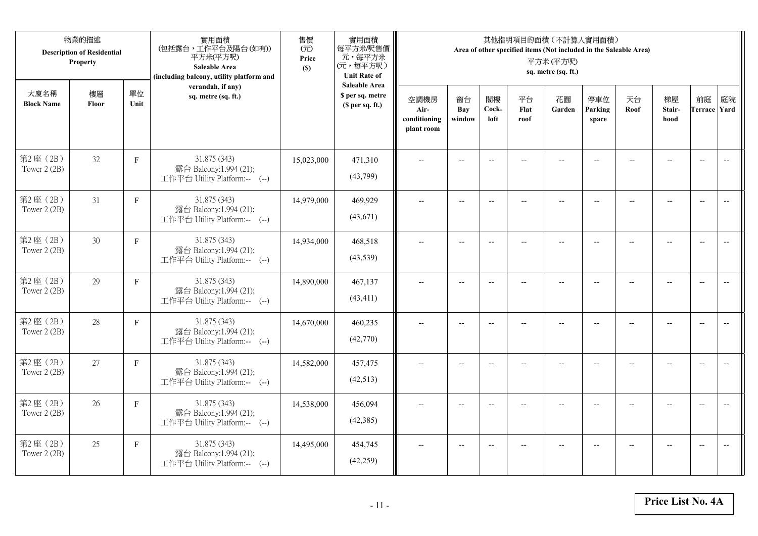| 物業的描述<br><b>Description of Residential</b><br>Property |             |              | 實用面積<br>(包括露台,工作平台及陽台(如有))<br>平方米(平方呎)<br>Saleable Area<br>(including balcony, utility platform and | 售價<br>(元)<br>Price<br>(S) | 實用面積<br>每平方米/呎售價<br>元,每平方米<br>(元,每平方呎)<br><b>Unit Rate of</b> | 其他指明項目的面積 (不計算入實用面積)<br>Area of other specified items (Not included in the Saleable Area)<br>平方米(平方呎)<br>sq. metre (sq. ft.) |                          |                          |                    |                          |                         |                          |                      |                           |                          |
|--------------------------------------------------------|-------------|--------------|-----------------------------------------------------------------------------------------------------|---------------------------|---------------------------------------------------------------|------------------------------------------------------------------------------------------------------------------------------|--------------------------|--------------------------|--------------------|--------------------------|-------------------------|--------------------------|----------------------|---------------------------|--------------------------|
| 大廈名稱<br><b>Block Name</b>                              | 樓層<br>Floor | 單位<br>Unit   | verandah, if any)<br>sq. metre (sq. ft.)                                                            |                           | <b>Saleable Area</b><br>\$ per sq. metre<br>(\$ per sq. ft.)  | 空調機房<br>Air-<br>conditioning<br>plant room                                                                                   | 窗台<br>Bay<br>window      | 閣樓<br>Cock-<br>loft      | 平台<br>Flat<br>roof | 花園<br>Garden             | 停車位<br>Parking<br>space | 天台<br>Roof               | 梯屋<br>Stair-<br>hood | 前庭<br><b>Terrace Yard</b> | 庭院                       |
| 第2座(2B)<br>Tower 2 (2B)                                | 32          | $\mathbf F$  | 31.875 (343)<br>露台 Balcony:1.994 (21);<br>工作平台 Utility Platform:-- (--)                             | 15,023,000                | 471,310<br>(43,799)                                           |                                                                                                                              |                          | $-$                      |                    |                          |                         |                          |                      | $\overline{\phantom{a}}$  | $\overline{\phantom{a}}$ |
| 第2座(2B)<br>Tower 2 (2B)                                | 31          | $\mathbf{F}$ | 31.875 (343)<br>露台 Balcony:1.994 (21);<br>工作平台 Utility Platform:-- (--)                             | 14,979,000                | 469,929<br>(43,671)                                           | $\overline{a}$                                                                                                               | $--$                     | $\overline{\phantom{a}}$ | $-$                | $\overline{\phantom{a}}$ | $-$                     | $\overline{\phantom{a}}$ | $-$                  | $\overline{a}$            | $\overline{\phantom{a}}$ |
| 第2座(2B)<br>Tower 2 (2B)                                | 30          | $\mathbf{F}$ | 31.875 (343)<br>露台 Balcony:1.994 (21);<br>工作平台 Utility Platform:-- (--)                             | 14,934,000                | 468,518<br>(43,539)                                           |                                                                                                                              | $\overline{a}$           | $\overline{\phantom{a}}$ | $\overline{a}$     | $\overline{a}$           |                         |                          | $\overline{a}$       | $\overline{a}$            |                          |
| 第2座(2B)<br>Tower 2 (2B)                                | 29          | $\mathbf F$  | 31.875 (343)<br>露台 Balcony:1.994 (21);<br>工作平台 Utility Platform:-- (--)                             | 14,890,000                | 467,137<br>(43, 411)                                          | $\overline{\phantom{a}}$                                                                                                     | $-$                      | $-$                      | $\overline{a}$     | $\overline{\phantom{a}}$ | $\overline{a}$          |                          | $\overline{a}$       | $\overline{\phantom{a}}$  | $\overline{\phantom{m}}$ |
| 第2座(2B)<br>Tower 2 (2B)                                | 28          | $\mathbf F$  | 31.875 (343)<br>露台 Balcony:1.994 (21);<br>工作平台 Utility Platform:-- (--)                             | 14,670,000                | 460,235<br>(42,770)                                           | $\overline{a}$                                                                                                               | $\overline{\phantom{a}}$ | $\overline{\phantom{a}}$ | $\qquad \qquad -$  | $\overline{\phantom{m}}$ | $-$                     | --                       | $-$                  | $\overline{\phantom{m}}$  | $\overline{\phantom{m}}$ |
| 第2座(2B)<br>Tower 2 (2B)                                | 27          | $\mathbf F$  | 31.875 (343)<br>露台 Balcony:1.994 (21);<br>工作平台 Utility Platform:-- (--)                             | 14,582,000                | 457,475<br>(42,513)                                           |                                                                                                                              | $-$                      | $\overline{\phantom{a}}$ |                    | $\overline{a}$           |                         |                          | $-$                  | $\overline{a}$            | $-$                      |
| 第2座(2B)<br>Tower 2 (2B)                                | 26          | $\mathbf F$  | 31.875 (343)<br>露台 Balcony:1.994 (21);<br>工作平台 Utility Platform:-- (--)                             | 14,538,000                | 456,094<br>(42, 385)                                          | $\sim$                                                                                                                       | $-$                      | $\overline{\phantom{a}}$ | $\sim$             | $\sim$                   | $-$                     |                          | $\sim$               | $-$                       | $\overline{a}$           |
| 第2座(2B)<br>Tower 2 (2B)                                | 25          | $\mathbf{F}$ | 31.875 (343)<br>露台 Balcony:1.994 (21);<br>工作平台 Utility Platform:-- (--)                             | 14,495,000                | 454,745<br>(42, 259)                                          |                                                                                                                              | $-$                      |                          |                    | --                       |                         |                          |                      | $\overline{\phantom{a}}$  | $-$                      |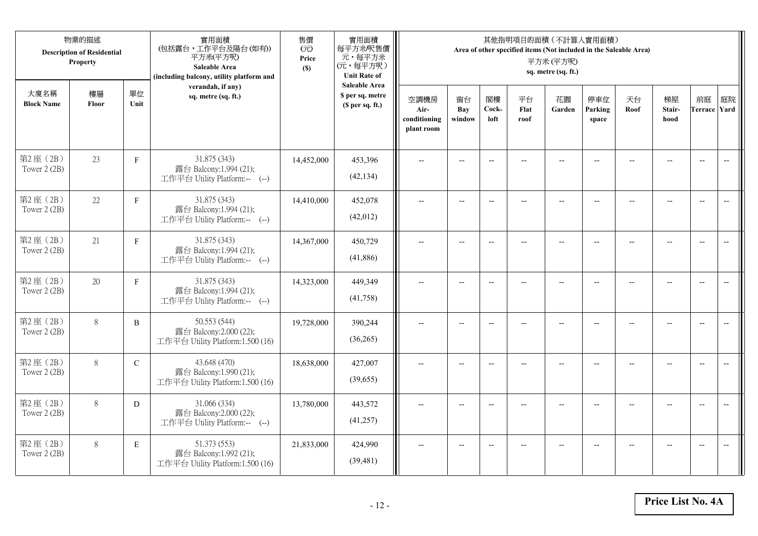| 物業的描述<br><b>Description of Residential</b><br>Property |             |               | 實用面積<br>(包括露台,工作平台及陽台(如有))<br>平方米(平方呎)<br>Saleable Area<br>(including balcony, utility platform and | 售價<br>(元)<br>Price<br>(S) | 實用面積<br>每平方米/呎售價<br>元,每平方米<br>(元,每平方呎)<br><b>Unit Rate of</b>          | 其他指明項目的面積 (不計算入實用面積)<br>Area of other specified items (Not included in the Saleable Area)<br>平方米(平方呎)<br>sq. metre (sq. ft.) |                          |                          |                          |                          |                          |                          |                                                     |                           |                          |
|--------------------------------------------------------|-------------|---------------|-----------------------------------------------------------------------------------------------------|---------------------------|------------------------------------------------------------------------|------------------------------------------------------------------------------------------------------------------------------|--------------------------|--------------------------|--------------------------|--------------------------|--------------------------|--------------------------|-----------------------------------------------------|---------------------------|--------------------------|
| 大廈名稱<br><b>Block Name</b>                              | 樓層<br>Floor | 單位<br>Unit    | verandah, if any)<br>sq. metre (sq. ft.)                                                            |                           | <b>Saleable Area</b><br>\$ per sq. metre<br>(S <sub>per</sub> sq. ft.) | 空調機房<br>Air-<br>conditioning<br>plant room                                                                                   | 窗台<br>Bay<br>window      | 閣樓<br>Cock-<br>loft      | 平台<br>Flat<br>roof       | 花園<br>Garden             | 停車位<br>Parking<br>space  | 天台<br>Roof               | 梯屋<br>Stair-<br>hood                                | 前庭<br><b>Terrace Yard</b> | 庭院                       |
| 第2座(2B)<br>Tower 2 (2B)                                | 23          | $\mathbf F$   | 31.875 (343)<br>露台 Balcony:1.994 (21);<br>工作平台 Utility Platform:-- (--)                             | 14,452,000                | 453,396<br>(42, 134)                                                   |                                                                                                                              | $-$                      | $\overline{a}$           |                          | $\sim$                   |                          |                          |                                                     | $\overline{a}$            | $\overline{\phantom{a}}$ |
| 第2座(2B)<br>Tower 2 (2B)                                | 22          | $\mathbf{F}$  | 31.875 (343)<br>露台 Balcony:1.994 (21);<br>工作平台 Utility Platform:-- (--)                             | 14,410,000                | 452,078<br>(42,012)                                                    | $\overline{\phantom{a}}$                                                                                                     | $\overline{\phantom{a}}$ | $\overline{a}$           | $-$                      | $\overline{\phantom{a}}$ | $-$                      | $\overline{\phantom{a}}$ | $\overline{a}$                                      | $-$                       |                          |
| 第2座(2B)<br>Tower 2 (2B)                                | 21          | $\mathbf F$   | 31.875 (343)<br>露台 Balcony:1.994 (21);<br>工作平台 Utility Platform:-- (--)                             | 14,367,000                | 450,729<br>(41,886)                                                    |                                                                                                                              | $\overline{\phantom{a}}$ | $\overline{\phantom{a}}$ | $-$                      | $-$                      | --                       |                          | $\overline{\phantom{a}}$                            | $\overline{\phantom{a}}$  |                          |
| 第2座(2B)<br>Tower 2 (2B)                                | 20          | $\mathbf F$   | 31.875 (343)<br>露台 Balcony:1.994 (21);<br>工作平台 Utility Platform:-- (--)                             | 14,323,000                | 449,349<br>(41,758)                                                    | $-$                                                                                                                          | $\overline{\phantom{m}}$ | $\overline{\phantom{a}}$ | $\overline{\phantom{a}}$ | $-$                      | $\overline{\phantom{a}}$ | $\overline{a}$           | $\hspace{0.05cm} -\hspace{0.05cm} -\hspace{0.05cm}$ | $-$                       | $\overline{\phantom{m}}$ |
| 第2座(2B)<br>Tower 2 (2B)                                | 8           | $\, {\bf B}$  | 50.553 (544)<br>露台 Balcony:2.000 (22);<br>工作平台 Utility Platform:1.500 (16)                          | 19,728,000                | 390,244<br>(36,265)                                                    | $\sim$                                                                                                                       | $\overline{a}$           | $\overline{a}$           | $\overline{a}$           | $\overline{\phantom{a}}$ | $\overline{a}$           |                          | $\overline{a}$                                      | $\overline{\phantom{a}}$  | $\overline{\phantom{a}}$ |
| 第2座(2B)<br>Tower 2 (2B)                                | 8           | $\mathcal{C}$ | 43.648 (470)<br>露台 Balcony:1.990 (21);<br>工作平台 Utility Platform:1.500 (16)                          | 18,638,000                | 427,007<br>(39,655)                                                    | $\overline{\phantom{a}}$                                                                                                     | $\overline{a}$           | $-$                      |                          | $\overline{a}$           | $\sim$                   | $-$                      | $\overline{a}$                                      | $\overline{\phantom{a}}$  | $\sim$                   |
| 第2座(2B)<br>Tower 2 (2B)                                | $8\,$       | D             | 31.066 (334)<br>露台 Balcony:2.000 (22);<br>工作平台 Utility Platform:-- (--)                             | 13,780,000                | 443,572<br>(41,257)                                                    |                                                                                                                              |                          | $\overline{\phantom{a}}$ |                          |                          |                          |                          |                                                     | $\overline{\phantom{a}}$  | $\overline{\phantom{a}}$ |
| 第2座(2B)<br>Tower 2 (2B)                                | 8           | $\mathbf E$   | 51.373 (553)<br>露台 Balcony:1.992 (21);<br>工作平台 Utility Platform:1.500 (16)                          | 21,833,000                | 424,990<br>(39, 481)                                                   | $\overline{\phantom{a}}$                                                                                                     | $-$                      | $-$                      | $\overline{a}$           | $-$                      | $-$                      |                          | $\overline{a}$                                      | $-$                       | $\overline{\phantom{a}}$ |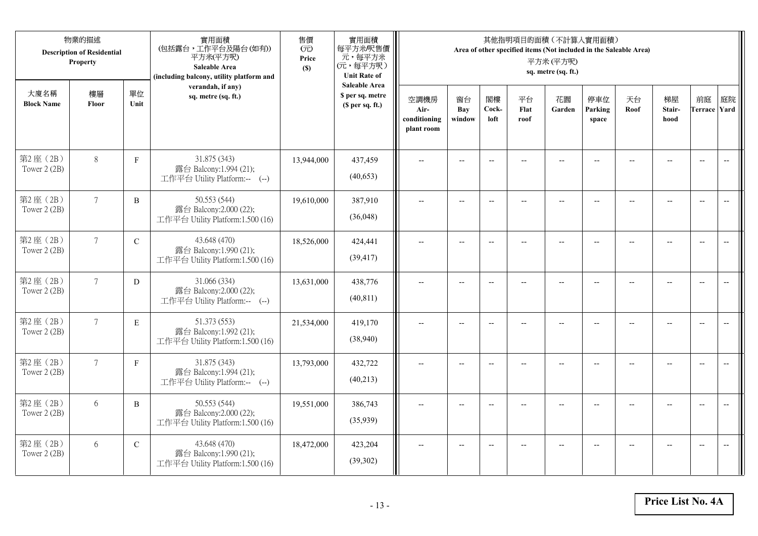| 物業的描述<br><b>Description of Residential</b><br>Property |                 |              | 實用面積<br>(包括露台,工作平台及陽台(如有))<br>平方米(平方呎)<br>Saleable Area<br>(including balcony, utility platform and | 售價<br>(元)<br>Price<br>(S) | 實用面積<br>每平方米/呎售價<br>元,每平方米<br>(元,每平方呎)<br><b>Unit Rate of</b>          | 其他指明項目的面積 (不計算入實用面積)<br>Area of other specified items (Not included in the Saleable Area)<br>平方米(平方呎)<br>sq. metre (sq. ft.) |                          |                          |                          |                          |                          |                |                                                     |                           |                          |
|--------------------------------------------------------|-----------------|--------------|-----------------------------------------------------------------------------------------------------|---------------------------|------------------------------------------------------------------------|------------------------------------------------------------------------------------------------------------------------------|--------------------------|--------------------------|--------------------------|--------------------------|--------------------------|----------------|-----------------------------------------------------|---------------------------|--------------------------|
| 大廈名稱<br><b>Block Name</b>                              | 樓層<br>Floor     | 單位<br>Unit   | verandah, if any)<br>sq. metre (sq. ft.)                                                            |                           | <b>Saleable Area</b><br>\$ per sq. metre<br>(S <sub>per</sub> sq. ft.) | 空調機房<br>Air-<br>conditioning<br>plant room                                                                                   | 窗台<br>Bay<br>window      | 閣樓<br>Cock-<br>loft      | 平台<br>Flat<br>roof       | 花園<br>Garden             | 停車位<br>Parking<br>space  | 天台<br>Roof     | 梯屋<br>Stair-<br>hood                                | 前庭<br><b>Terrace Yard</b> | 庭院                       |
| 第2座(2B)<br>Tower 2 (2B)                                | $8\,$           | $\mathbf F$  | 31.875 (343)<br>露台 Balcony:1.994 (21);<br>工作平台 Utility Platform:-- (--)                             | 13,944,000                | 437,459<br>(40,653)                                                    |                                                                                                                              | $-$                      | $\overline{a}$           |                          |                          |                          |                |                                                     | $\overline{a}$            | $\overline{\phantom{a}}$ |
| 第2座(2B)<br>Tower 2 (2B)                                | $7\phantom{.0}$ | B            | 50.553 (544)<br>露台 Balcony:2.000 (22);<br>工作平台 Utility Platform:1.500 (16)                          | 19,610,000                | 387,910<br>(36,048)                                                    | $\overline{\phantom{a}}$                                                                                                     | $\overline{\phantom{a}}$ | $\overline{a}$           | $-$                      | $\overline{\phantom{a}}$ | $-$                      |                | $\overline{a}$                                      | $-$                       | $\overline{\phantom{m}}$ |
| 第2座(2B)<br>Tower 2 (2B)                                | $7\overline{ }$ | $\mathbf C$  | 43.648 (470)<br>露台 Balcony:1.990 (21);<br>工作平台 Utility Platform:1.500 (16)                          | 18,526,000                | 424,441<br>(39, 417)                                                   |                                                                                                                              | $\overline{\phantom{a}}$ | $\overline{\phantom{a}}$ | $-$                      | $-$                      |                          |                | $\overline{\phantom{a}}$                            | $\overline{\phantom{a}}$  |                          |
| 第2座(2B)<br>Tower 2 (2B)                                | $7\overline{ }$ | D            | 31.066 (334)<br>露台 Balcony:2.000 (22);<br>工作平台 Utility Platform:-- (--)                             | 13,631,000                | 438,776<br>(40, 811)                                                   | $-$                                                                                                                          | $\overline{\phantom{m}}$ | $\overline{\phantom{a}}$ | $\overline{\phantom{a}}$ | $-$                      | $\overline{\phantom{a}}$ | $\overline{a}$ | $\hspace{0.05cm} -\hspace{0.05cm} -\hspace{0.05cm}$ | $-$                       | $\overline{\phantom{m}}$ |
| 第2座(2B)<br>Tower 2 (2B)                                | $\tau$          | $\mathbf E$  | 51.373 (553)<br>露台 Balcony:1.992 (21);<br>工作平台 Utility Platform:1.500 (16)                          | 21,534,000                | 419,170<br>(38,940)                                                    | $\sim$                                                                                                                       | $\overline{a}$           | $\overline{a}$           | $\overline{a}$           | $\overline{\phantom{a}}$ | $\overline{a}$           |                | $\overline{a}$                                      | $\overline{\phantom{a}}$  | $\overline{\phantom{a}}$ |
| 第2座(2B)<br>Tower 2 (2B)                                | $7\overline{ }$ | $\mathbf{F}$ | 31.875 (343)<br>露台 Balcony:1.994 (21);<br>工作平台 Utility Platform:-- (--)                             | 13,793,000                | 432,722<br>(40,213)                                                    | $\overline{\phantom{a}}$                                                                                                     | $\overline{a}$           | $-$                      |                          | $\overline{a}$           | $\sim$                   | $-$            | $\overline{a}$                                      | $\overline{\phantom{a}}$  | $\sim$                   |
| 第2座(2B)<br>Tower 2 (2B)                                | 6               | B            | 50.553 (544)<br>露台 Balcony:2.000 (22);<br>工作平台 Utility Platform:1.500 (16)                          | 19,551,000                | 386,743<br>(35,939)                                                    |                                                                                                                              |                          | $\overline{\phantom{a}}$ |                          |                          |                          |                |                                                     | $\overline{\phantom{a}}$  | $\overline{\phantom{a}}$ |
| 第2座(2B)<br>Tower 2 (2B)                                | 6               | $\mathbf C$  | 43.648 (470)<br>露台 Balcony:1.990 (21);<br>工作平台 Utility Platform:1.500 (16)                          | 18,472,000                | 423,204<br>(39, 302)                                                   | $\overline{\phantom{a}}$                                                                                                     | $-$                      | $-$                      |                          | $\overline{a}$           | $-$                      |                | $-$                                                 | $-$                       | $\overline{\phantom{a}}$ |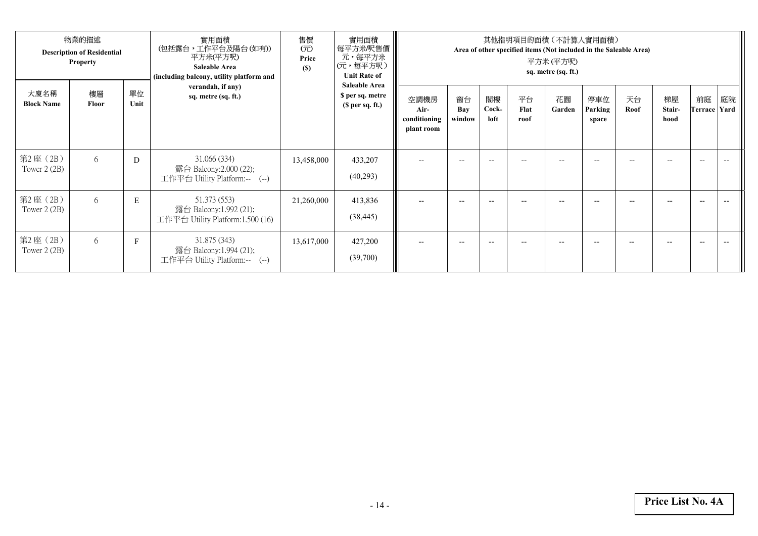| 物業的描述<br><b>Description of Residential</b><br><b>Property</b> |             |            | 實用面積<br>(包括露台,工作平台及陽台 (如有))<br>平方米(平方呎)<br><b>Saleable Area</b><br>(including balcony, utility platform and | 售價<br>$(\overrightarrow{\pi})$<br>Price<br>(S) | 實用面積<br>每平方米/呎售價<br>元,每平方米<br>(元,每平方呎)<br><b>Unit Rate of</b> | 其他指明項目的面積(不計算人實用面積)<br>Area of other specified items (Not included in the Saleable Area)<br>平方米 (平方呎)<br>sq. metre (sq. ft.) |                     |                          |                    |              |                         |            |                      |                          |    |
|---------------------------------------------------------------|-------------|------------|-------------------------------------------------------------------------------------------------------------|------------------------------------------------|---------------------------------------------------------------|------------------------------------------------------------------------------------------------------------------------------|---------------------|--------------------------|--------------------|--------------|-------------------------|------------|----------------------|--------------------------|----|
| 大廈名稱<br><b>Block Name</b>                                     | 樓層<br>Floor | 單位<br>Unit | verandah, if any)<br>sq. metre (sq. ft.)                                                                    |                                                | <b>Saleable Area</b><br>\$ per sq. metre<br>(\$ per sq. ft.)  | 空調機房<br>Air-<br>conditioning<br>plant room                                                                                   | 窗台<br>Bay<br>window | 閣樓<br>Cock-<br>loft      | 平台<br>Flat<br>roof | 花園<br>Garden | 停車位<br>Parking<br>space | 天台<br>Roof | 梯屋<br>Stair-<br>hood | 前庭<br>Terrace Yard       | 庭院 |
| 第2座 (2B)<br>Tower $2(2B)$                                     | 6           | D          | 31.066 (334)<br>露台 Balcony:2.000 (22);<br>工作平台 Utility Platform:-- (--)                                     | 13,458,000                                     | 433,207<br>(40,293)                                           |                                                                                                                              | $- -$               |                          |                    |              |                         |            |                      | $-$                      |    |
| 第2座 (2B)<br>Tower $2(2B)$                                     | 6           | ${\bf E}$  | 51.373 (553)<br>露台 Balcony:1.992 (21);<br>工作平台 Utility Platform:1.500 (16)                                  | 21,260,000                                     | 413,836<br>(38, 445)                                          |                                                                                                                              | $- -$               | $-$                      |                    | $- -$        | --                      | --         |                      | $\hspace{0.05cm} \ldots$ |    |
| 第2座 (2B)<br>Tower $2(2B)$                                     | 6           | F          | 31.875 (343)<br>露台 Balcony:1.994 (21);<br>工作平台 Utility Platform:-- (--)                                     | 13,617,000                                     | 427,200<br>(39,700)                                           | $-$                                                                                                                          | $- -$               | $\overline{\phantom{a}}$ | --                 | $- -$        | $- -$                   | --         |                      | $\hspace{0.05cm} \ldots$ |    |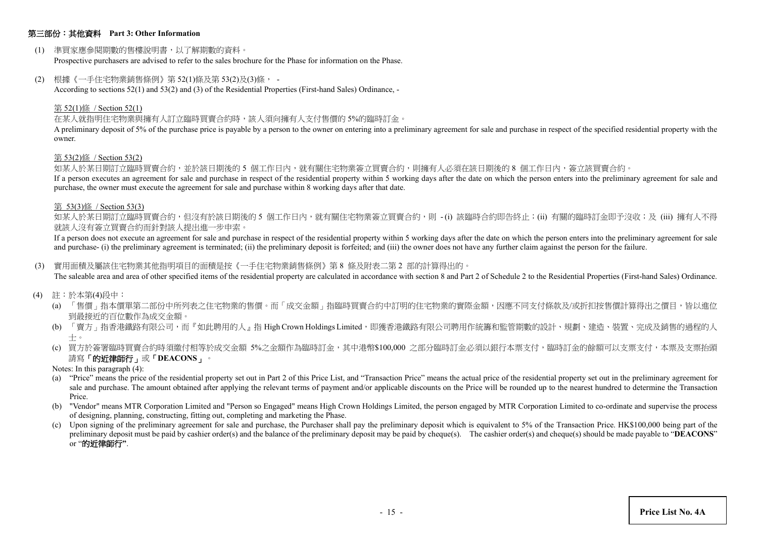### 第三部份:其他資料 **Part 3: Other Information**

(1) 準買家應參閱期數的售樓說明書,以了解期數的資料。

Prospective purchasers are advised to refer to the sales brochure for the Phase for information on the Phase.

(2) 根據《一手住宅物業銷售條例》第 52(1)條及第 53(2)及(3)條, -

According to sections 52(1) and 53(2) and (3) of the Residential Properties (First-hand Sales) Ordinance, -

#### 第 52(1)條 / Section 52(1)

在某人就指明住宅物業與擁有人訂立臨時買賣合約時,該人須向擁有人支付售價的 5%的臨時訂金。

A preliminary deposit of 5% of the purchase price is payable by a person to the owner on entering into a preliminary agreement for sale and purchase in respect of the specified residential property with the owner.

#### 第 53(2)條 / Section 53(2)

如某人於某日期訂立臨時買賣合約,並於該日期後的 5 個工作日內,就有關住宅物業簽立買賣合約,則擁有人必須在該日期後的 8 個工作日內,簽立該買賣合約。

If a person executes an agreement for sale and purchase in respect of the residential property within 5 working days after the date on which the person enters into the preliminary agreement for sale and purchase, the owner must execute the agreement for sale and purchase within 8 working days after that date.

#### 第 53(3)條 / Section 53(3)

如某人於某日期訂立臨時買賣合約,但沒有於該日期後的 5 個工作日内,就有關住宅物業簽立買賣合約,則 -(i) 該臨時合約即告終止;(ii) 有關的臨時訂金即予沒收;及 (iii) 擁有人不得 就該人沒有簽立買賣合約而針對該人提出進一步申索。

If a person does not execute an agreement for sale and purchase in respect of the residential property within 5 working days after the date on which the person enters into the preliminary agreement for sale and purchase- (i) the preliminary agreement is terminated; (ii) the preliminary deposit is forfeited; and (iii) the owner does not have any further claim against the person for the failure.

(3) 實用面積及屬該住宅物業其他指明項目的面積是按《一手住宅物業銷售條例》第 8 條及附表二第 2 部的計算得出的。

The saleable area and area of other specified items of the residential property are calculated in accordance with section 8 and Part 2 of Schedule 2 to the Residential Properties (First-hand Sales) Ordinance.

- (4) 註:於本第(4)段中:
	- (a) 「售價」指本價單第二部份中所列表之住宅物業的售價。而「成交金額」指臨時買賣合約中訂明的住宅物業的實際金額,因應不同支付條款及/或折扣按售價計算得出之價目,皆以進位 到最接近的百位數作為成交金額。
	- (b) 「賣方」指香港鐵路有限公司,而『如此聘用的人』指 High Crown Holdings Limited,即獲香港鐵路有限公司聘用作統籌和監管期數的設計、規劃、建造、裝置、完成及銷售的過程的人 士。
	- (c) 買方於簽署臨時買賣合約時須繳付相等於成交金額 5%之金額作為臨時訂金,其中港幣\$100,000 之部分臨時訂金必須以銀行本票支付,臨時訂金的餘額可以支票支付,本票及支票抬頭 請寫「的近律師行」或「**DEACONS**」。
	- Notes: In this paragraph (4):
	- (a) "Price" means the price of the residential property set out in Part 2 of this Price List, and "Transaction Price" means the actual price of the residential property set out in the preliminary agreement for sale and purchase. The amount obtained after applying the relevant terms of payment and/or applicable discounts on the Price will be rounded up to the nearest hundred to determine the Transaction Price.
	- (b) "Vendor" means MTR Corporation Limited and "Person so Engaged" means High Crown Holdings Limited, the person engaged by MTR Corporation Limited to co-ordinate and supervise the process of designing, planning, constructing, fitting out, completing and marketing the Phase.
	- (c) Upon signing of the preliminary agreement for sale and purchase, the Purchaser shall pay the preliminary deposit which is equivalent to 5% of the Transaction Price. HK\$100,000 being part of the preliminary deposit must be paid by cashier order(s) and the balance of the preliminary deposit may be paid by cheque(s). The cashier order(s) and cheque(s) should be made payable to "**DEACONS**" or "的近律師行**"**.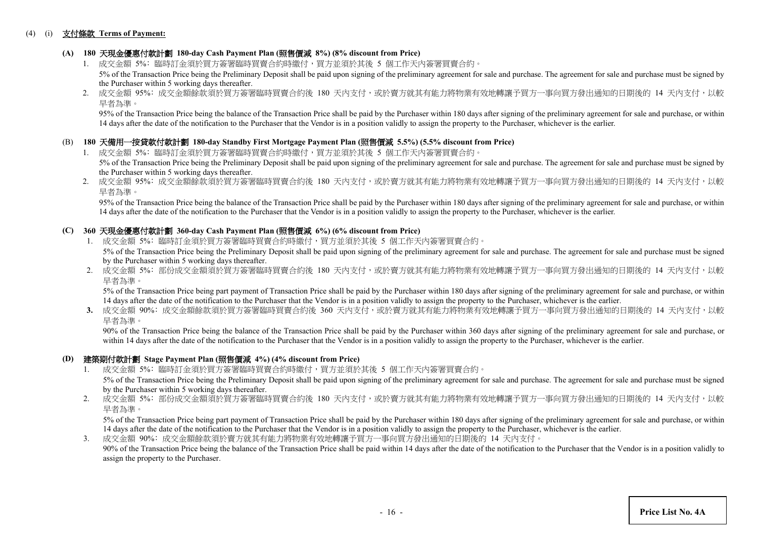#### (4) (i) 支付條款 **Terms of Payment:**

# **(A) 180** 天現金優惠付款計劃 **180-day Cash Payment Plan (**照售價減 **8%) (8% discount from Price)**

- 1. 成交金額 5%: 臨時訂金須於買方簽署臨時買賣合約時繳付,買方並須於其後 5 個工作天内簽署買賣合約。 5% of the Transaction Price being the Preliminary Deposit shall be paid upon signing of the preliminary agreement for sale and purchase. The agreement for sale and purchase must be signed by the Purchaser within 5 working days thereafter.
- 2. 成交金額 95%: 成交金額餘款須於買方簽署臨時買賣合約後 180 天內支付,或於賣方就其有能力將物業有效地轉讓予買方一事向買方發出通知的日期後的 14 天内支付,以較 早者為準。

95% of the Transaction Price being the balance of the Transaction Price shall be paid by the Purchaser within 180 days after signing of the preliminary agreement for sale and purchase, or within 14 days after the date of the notification to the Purchaser that the Vendor is in a position validly to assign the property to the Purchaser, whichever is the earlier.

#### (B) **180** 天備用一按貸款付款計劃 **180-day Standby First Mortgage Payment Plan (**照售價減 **5.5%) (5.5% discount from Price)**

- 1. 成交金額 5%: 臨時訂金須於買方簽署臨時買賣合約時繳付,買方並須於其後 5 個工作天內簽署買賣合約。 5% of the Transaction Price being the Preliminary Deposit shall be paid upon signing of the preliminary agreement for sale and purchase. The agreement for sale and purchase must be signed by the Purchaser within 5 working days thereafter.
- 2. 成交金額 95%: 成交金額餘款須於買方簽署臨時買賣合約後 180 天內支付,或於賣方就其有能力將物業有效地轉讓予買方一事向買方發出通知的日期後的 14 天内支付,以較 早者為準。

 95% of the Transaction Price being the balance of the Transaction Price shall be paid by the Purchaser within 180 days after signing of the preliminary agreement for sale and purchase, or within 14 days after the date of the notification to the Purchaser that the Vendor is in a position validly to assign the property to the Purchaser, whichever is the earlier.

### **(C) 360** 天現金優惠付款計劃 **360-day Cash Payment Plan (**照售價減 **6%) (6% discount from Price)**

- 1. 成交金額 5%: 臨時訂金須於買方簽署臨時買賣合約時繳付,買方並須於其後 5 個工作天內簽署買賣合約。 5% of the Transaction Price being the Preliminary Deposit shall be paid upon signing of the preliminary agreement for sale and purchase. The agreement for sale and purchase must be signed by the Purchaser within 5 working days thereafter.
- 2. 成交金額 5%: 部份成交金額須於買方簽署臨時買賣合約後 180 天內支付,或於賣方就其有能力將物業有效地轉讓予買方一事向買方發出通知的日期後的 14 天內支付,以較 早者為準。

5% of the Transaction Price being part payment of Transaction Price shall be paid by the Purchaser within 180 days after signing of the preliminary agreement for sale and purchase, or within 14 days after the date of the notification to the Purchaser that the Vendor is in a position validly to assign the property to the Purchaser, whichever is the earlier.

3. 成交金額 90%: 成交金額餘款須於買方簽署臨時買賣合約後 360 天内支付,或於賣方就其有能力將物業有效地轉讓予買方一事向買方發出通知的日期後的 14 天内支付,以較 早者為準。

90% of the Transaction Price being the balance of the Transaction Price shall be paid by the Purchaser within 360 days after signing of the preliminary agreement for sale and purchase, or within 14 days after the date of the notification to the Purchaser that the Vendor is in a position validly to assign the property to the Purchaser, whichever is the earlier.

#### **(D)** 建築期付款計劃 **Stage Payment Plan (**照售價減 **4%) (4% discount from Price)**

- 1. 成交金額 5%﹕臨時訂金須於買方簽署臨時買賣合約時繳付,買方並須於其後 5 個工作天內簽署買賣合約。 5% of the Transaction Price being the Preliminary Deposit shall be paid upon signing of the preliminary agreement for sale and purchase. The agreement for sale and purchase must be signed by the Purchaser within 5 working days thereafter.
- 2. 成交金額 5%: 部份成交金額須於買方簽署臨時買賣合約後 180 天內支付,或於賣方就其有能力將物業有效地轉讓予買方一事向買方發出通知的日期後的 14 天内支付,以較 早者為準。

5% of the Transaction Price being part payment of Transaction Price shall be paid by the Purchaser within 180 days after signing of the preliminary agreement for sale and purchase, or within 14 days after the date of the notification to the Purchaser that the Vendor is in a position validly to assign the property to the Purchaser, whichever is the earlier.

3. 成交金額 90%﹕成交金額餘款須於賣方就其有能力將物業有效地轉讓予買方一事向買方發出通知的日期後的 14 天內支付。 90% of the Transaction Price being the balance of the Transaction Price shall be paid within 14 days after the date of the notification to the Purchaser that the Vendor is in a position validly to assign the property to the Purchaser.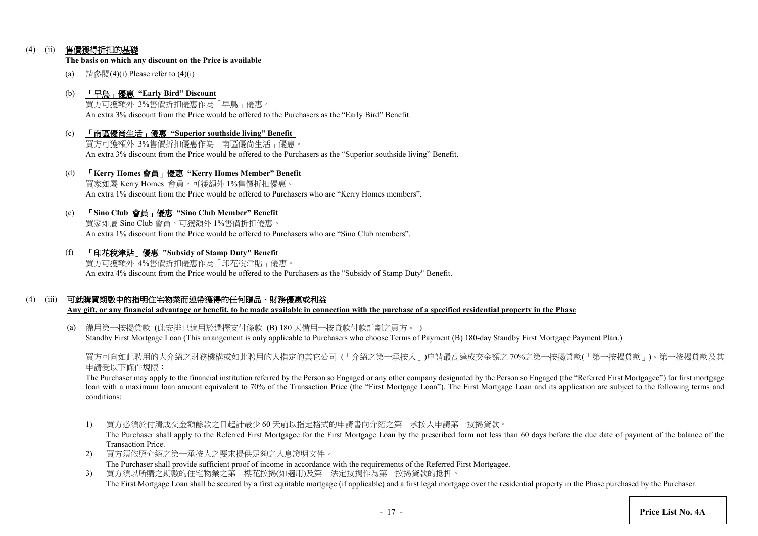## (4) (ii) 售價獲得折扣的基礎

#### **The basis on which any discount on the Price is available**

(a) 請參閱 $(4)$ (i) Please refer to  $(4)$ (i)

#### (b) 「早鳥」優惠 **"Early Bird" Discount**

買方可獲額外 3%售價折扣優惠作為「早鳥」優惠。 An extra 3% discount from the Price would be offered to the Purchasers as the "Early Bird" Benefit.

- (c) 「南區優尚生活」優惠 **"Superior southside living" Benefit** 買方可獲額外 3%售價折扣優惠作為「南區優尚生活」優惠。 An extra 3% discount from the Price would be offered to the Purchasers as the "Superior southside living" Benefit.
- (d) 「**Kerry Homes** 會員」優惠 **"Kerry Homes Member" Benefit** 買家如屬 Kerry Homes 會員,可獲額外 1%售價折扣優惠。 An extra 1% discount from the Price would be offered to Purchasers who are "Kerry Homes members".
- (e) 「**Sino Club** 會員」優惠 **"Sino Club Member" Benefit**

買家如屬 Sino Club 會員,可獲額外 1%售價折扣優惠。 An extra 1% discount from the Price would be offered to Purchasers who are "Sino Club members".

(f) 「印花稅津貼」優惠 **"Subsidy of Stamp Duty" Benefit**

買方可獲額外 4%售價折扣優惠作為「印花稅津貼」優惠。 An extra 4% discount from the Price would be offered to the Purchasers as the "Subsidy of Stamp Duty" Benefit.

### (4) (iii) 可就購買期數中的指明住宅物業而連帶獲得的任何贈品、財務優惠或利益

**Any gift, or any financial advantage or benefit, to be made available in connection with the purchase of a specified residential property in the Phase**

(a) 備用第一按揭貸款 (此安排只適用於選擇支付條款 (B) 180 天備用一按貸款付款計劃之買方。 ) Standby First Mortgage Loan (This arrangement is only applicable to Purchasers who choose Terms of Payment (B) 180-day Standby First Mortgage Payment Plan.)

買方可向如此聘用的人介紹之財務機構或如此聘用的人指定的其它公司 (「介紹之第一承按人」)申請最高達成交金額之 70%之第一按揭貸款(「第一按揭貸款」)。第一按揭貸款及其 申請受以下條件規限:

The Purchaser may apply to the financial institution referred by the Person so Engaged or any other company designated by the Person so Engaged (the "Referred First Mortgagee") for first mortgage loan with a maximum loan amount equivalent to 70% of the Transaction Price (the "First Mortgage Loan"). The First Mortgage Loan and its application are subject to the following terms and conditions:

1) 買方必須於付清成交金額餘款之日起計最少 60 天前以指定格式的申請書向介紹之第一承按人申請第一按揭貸款。

The Purchaser shall apply to the Referred First Mortgagee for the First Mortgage Loan by the prescribed form not less than 60 days before the due date of payment of the balance of the Transaction Price.

- 2) 買方須依照介紹之第一承按人之要求提供足夠之入息證明文件。 The Purchaser shall provide sufficient proof of income in accordance with the requirements of the Referred First Mortgagee.
- 3) 買方須以所購之期數的住宅物業之第一樓花按揭(如適用)及第一法定按揭作為第一按揭貸款的抵押。 The First Mortgage Loan shall be secured by a first equitable mortgage (if applicable) and a first legal mortgage over the residential property in the Phase purchased by the Purchaser.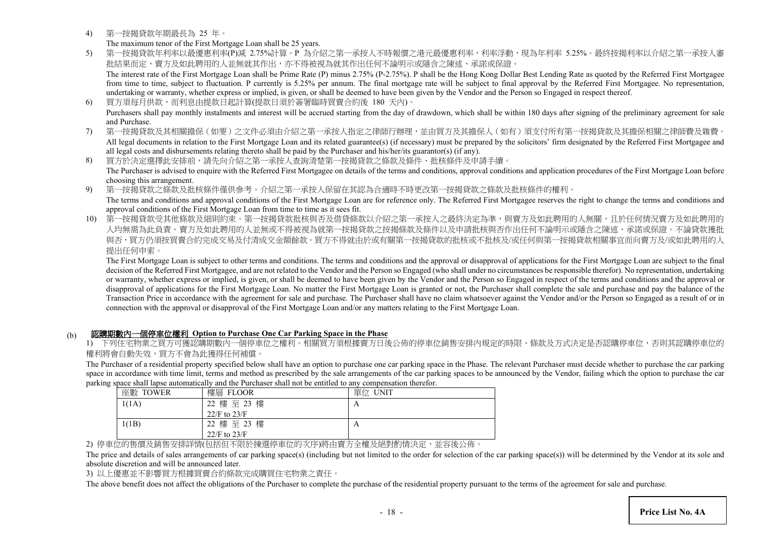4) 第一按揭貸款年期最長為 25 年。

The maximum tenor of the First Mortgage Loan shall be 25 years.

- 5) 第一按揭貸款年利率以最優惠利率(P)減 2.75%計算。P 為介紹之第一承按人不時報價之港元最優惠利率,利率浮動,現為年利率 5.25%。最終按揭利率以介紹之第一承按人審 批結果而定,賣方及如此聘用的人並無就其作出,亦不得被視為就其作出任何不論明示或隱含之陳述、承諾或保證。 The interest rate of the First Mortgage Loan shall be Prime Rate (P) minus 2.75% (P-2.75%). P shall be the Hong Kong Dollar Best Lending Rate as quoted by the Referred First Mortgagee from time to time, subject to fluctuation. P currently is 5.25% per annum. The final mortgage rate will be subject to final approval by the Referred First Mortgagee. No representation, undertaking or warranty, whether express or implied, is given, or shall be deemed to have been given by the Vendor and the Person so Engaged in respect thereof.
- 6) 買方須每月供款,而利息由提款日起計算(提款日須於簽署臨時買賣合約後 180 天內)。 Purchasers shall pay monthly instalments and interest will be accrued starting from the day of drawdown, which shall be within 180 days after signing of the preliminary agreement for sale and Purchase.
- 7) 第一按揭貸款及其相關擔保(如要)之文件必須由介紹之第一承按人指定之律師行辦理,並由買方及其擔保人(如有)須支付所有第一按揭貸款及其擔保相關之律師費及雜費。 All legal documents in relation to the First Mortgage Loan and its related guarantee(s) (if necessary) must be prepared by the solicitors' firm designated by the Referred First Mortgagee and all legal costs and disbursements relating thereto shall be paid by the Purchaser and his/her/its guarantor(s) (if any).
- 8) 買方於決定選擇此安排前,請先向介紹之第一承按人查詢清楚第一按揭貸款之條款及條件、批核條件及申請手續。 The Purchaser is advised to enquire with the Referred First Mortgagee on details of the terms and conditions, approval conditions and application procedures of the First Mortgage Loan before choosing this arrangement.
- 9) 第一按揭貸款之條款及批核條件僅供參考。介紹之第一承按人保留在其認為合適時不時更改第一按揭貸款之條款及批核條件的權利。
- The terms and conditions and approval conditions of the First Mortgage Loan are for reference only. The Referred First Mortgagee reserves the right to change the terms and conditions and approval conditions of the First Mortgage Loan from time to time as it sees fit.
- 10) 第一按揭貸款受其他條款及細則約束。第一按揭貸款批核與否及借貸條款以介紹之第一承按人之最終決定為準,與賣方及如此聘用的人無關,且於任何情況賣方及如此聘用的 人均無需為此負責。賣方及如此聘用的人並無或不得被視為就第一按揭貸款之按揭條款及條件以及申請批核與否作出任何不論明示或隱含之陳述、承諾或保證 與否,買方仍須按買賣合約完成交易及付清成交金額餘款。買方不得就由於或有關第一按揭貸款的批核或不批核及/或任何與第一按揭貸款相關事宜而向賣方及/或如此聘用的人 提出任何申索。

The First Mortgage Loan is subject to other terms and conditions. The terms and conditions and the approval or disapproval of applications for the First Mortgage Loan are subject to the final decision of the Referred First Mortgagee, and are not related to the Vendor and the Person so Engaged (who shall under no circumstances be responsible therefor). No representation, undertaking or warranty, whether express or implied, is given, or shall be deemed to have been given by the Vendor and the Person so Engaged in respect of the terms and conditions and the approval or disapproval of applications for the First Mortgage Loan. No matter the First Mortgage Loan is granted or not, the Purchaser shall complete the sale and purchase and pay the balance of the Transaction Price in accordance with the agreement for sale and purchase. The Purchaser shall have no claim whatsoever against the Vendor and/or the Person so Engaged as a result of or in connection with the approval or disapproval of the First Mortgage Loan and/or any matters relating to the First Mortgage Loan.

# (b) 認購期數內一個停車位權利 **Option to Purchase One Car Parking Space in the Phase**

1) 下列住宅物業之買方可獲認購期數內一個停車位之權利。相關買方須根據賣方日後公佈的停車位銷售安排內規定的時限、條款及方式決定是否認購停車位,否則其認購停車位的 權利將會自動失效,買方不會為此獲得任何補償。

The Purchaser of a residential property specified below shall have an option to purchase one car parking space in the Phase. The relevant Purchaser must decide whether to purchase the car parking space in accordance with time limit, terms and method as prescribed by the sale arrangements of the car parking spaces to be announced by the Vendor, failing which the option to purchase the car parking space shall lapse automatically and the Purchaser shall not be entitled to any compensation therefor.

| 座數<br><b>TOWER</b> | 樓層 FLOOR         | 單位 UNIT |
|--------------------|------------------|---------|
| 1(1A)              | 22 樓 至 23 樓      | А       |
|                    | $22/F$ to $23/F$ |         |
| 1(1B)              | 22 樓至 23 樓       | А       |
|                    | $22/F$ to $23/F$ |         |

2) 停車位的售價及銷售安排詳情(包括但不限於揀選停車位的次序)將由賣方全權及絕對酌情決定,並容後公佈

The price and details of sales arrangements of car parking space(s) (including but not limited to the order for selection of the car parking space(s)) will be determined by the Vendor at its sole and absolute discretion and will be announced later.

3) 以上優惠並不影響買方根據買賣合約條款完成購買住宅物業之責任。

The above benefit does not affect the obligations of the Purchaser to complete the purchase of the residential property pursuant to the terms of the agreement for sale and purchase.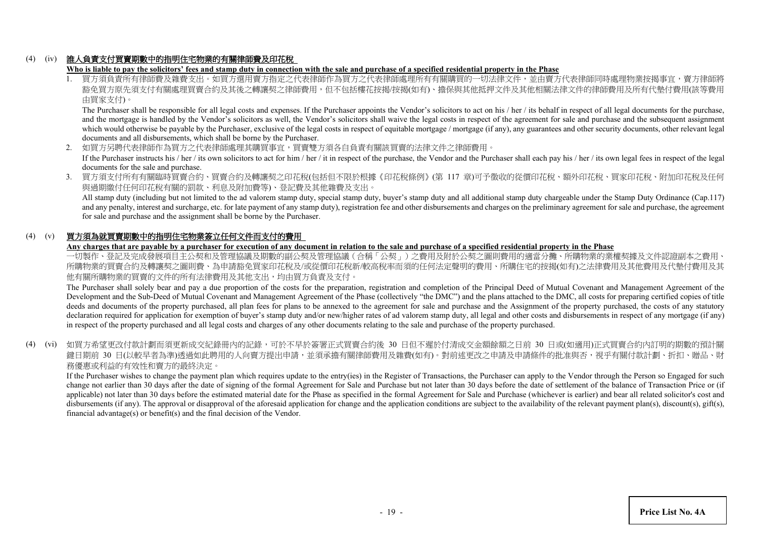# (4) (iv) 誰人負責支付買賣期數中的指明住宅物業的有關律師費及印花稅

**Who is liable to pay the solicitors' fees and stamp duty in connection with the sale and purchase of a specified residential property in the Phase**

1. 買方須負責所有律師費及雜費支出。如買方選用賣方指定之代表律師作為買方之代表律師處理所有有關購買的一切法律文件,並由賣方代表律師同時處理物業按揭 豁免買方原先須支付有關處理買賣合約及其後之轉讓契之律師費用,但不包括樓花按揭/按揭(如有)、擔保與其他抵押文件及其他相關法律文件的律師費用及所有代墊付費用(該等費用 由買家支付)。

The Purchaser shall be responsible for all legal costs and expenses. If the Purchaser appoints the Vendor's solicitors to act on his / her / its behalf in respect of all legal documents for the purchase, and the mortgage is handled by the Vendor's solicitors as well, the Vendor's solicitors shall waive the legal costs in respect of the agreement for sale and purchase and the subsequent assignment which would otherwise be payable by the Purchaser, exclusive of the legal costs in respect of equitable mortgage / mortgage (if any), any guarantees and other security documents, other relevant legal documents and all disbursements, which shall be borne by the Purchaser.

2. 如買方另聘代表律師作為買方之代表律師處理其購買事宜,買賣雙方須各自負責有關該買賣的法律文件之律師費用。 If the Purchaser instructs his / her / its own solicitors to act for him / her / it in respect of the purchase, the Vendor and the Purchaser shall each pay his / her / its own legal fees in respect of the legal

documents for the sale and purchase.

3. 買方須支付所有有關臨時買賣合約、買賣合約及轉讓契之印花稅(包括但不限於根據《印花稅條例》(第 117 章)可予徵收的從價印花稅、額外印花稅、買家印花稅、附加印花稅及任何 與過期繳付任何印花稅有關的罰款、利息及附加費等)、登記費及其他雜費及支出。

All stamp duty (including but not limited to the ad valorem stamp duty, special stamp duty, buyer's stamp duty and all additional stamp duty chargeable under the Stamp Duty Ordinance (Cap.117) and any penalty, interest and surcharge, etc. for late payment of any stamp duty), registration fee and other disbursements and charges on the preliminary agreement for sale and purchase, the agreement for sale and purchase and the assignment shall be borne by the Purchaser.

# (4) (v) 買方須為就買賣期數中的指明住宅物業簽立任何文件而支付的費用

**Any charges that are payable by a purchaser for execution of any document in relation to the sale and purchase of a specified residential property in the Phase**

一切製作、登記及完成發展項目主公契和及管理協議及期數的副公契及管理協議(合稱「公契」)之費用及附於公契之圖則費用的適當分攤、所購物業的業權契據及文件認證副本之費用、 所購物業的買賣合約及轉讓契之圖則費、為申請豁免買家印花稅及/或從價印花稅新/較高稅率而須的任何法定聲明的費用、所購住宅的按揭(如有)之法律費用及其他費用及代墊付費用及其 他有關所購物業的買賣的文件的所有法律費用及其他支出,均由買方負責及支付。

The Purchaser shall solely bear and pay a due proportion of the costs for the preparation, registration and completion of the Principal Deed of Mutual Covenant and Management Agreement of the Development and the Sub-Deed of Mutual Covenant and Management Agreement of the Phase (collectively "the DMC") and the plans attached to the DMC, all costs for preparing certified copies of title deeds and documents of the property purchased, all plan fees for plans to be annexed to the agreement for sale and purchase and the Assignment of the property purchased, the costs of any statutory declaration required for application for exemption of buyer's stamp duty and/or new/higher rates of ad valorem stamp duty, all legal and other costs and disbursements in respect of any mortgage (if any) in respect of the property purchased and all legal costs and charges of any other documents relating to the sale and purchase of the property purchased.

(4) (vi) 如買方希望更改付款計劃而須更新成交紀錄冊內的記錄,可於不早於簽署正式買賣合約後 30 日但不遲於付清成交金額餘額之日前 30 日或(如適用)正式買賣合約内訂明的期數的預計關 鍵日期前 30 日(以較早者為準)透過如此聘用的人向賣方提出申請,並須承擔有關律師費用及雜費(如有)。對前述更改之申請及申請條件的批准與否,視乎有關付款計劃、折扣、贈品、財 務優惠或利益的有效性和賣方的最終決定。

If the Purchaser wishes to change the payment plan which requires update to the entry(ies) in the Register of Transactions, the Purchaser can apply to the Vendor through the Person so Engaged for such change not earlier than 30 days after the date of signing of the formal Agreement for Sale and Purchase but not later than 30 days before the date of settlement of the balance of Transaction Price or (if applicable) not later than 30 days before the estimated material date for the Phase as specified in the formal Agreement for Sale and Purchase (whichever is earlier) and bear all related solicitor's cost and disbursements (if any). The approval or disapproval of the aforesaid application for change and the application conditions are subject to the availability of the relevant payment plan(s), discount(s), gift(s), financial advantage(s) or benefit(s) and the final decision of the Vendor.